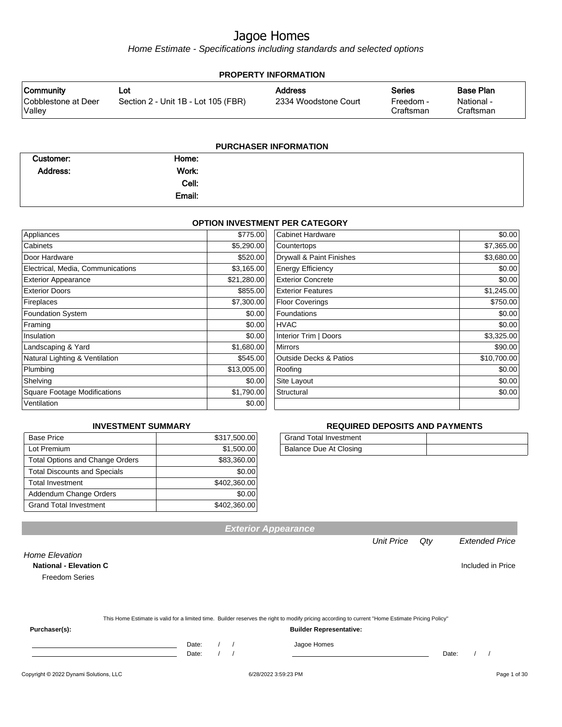Home Estimate - Specifications including standards and selected options

| <b>PROPERTY INFORMATION</b>   |                                     |                      |                        |                         |  |  |
|-------------------------------|-------------------------------------|----------------------|------------------------|-------------------------|--|--|
| <b>Community</b>              | Lot                                 | <b>Address</b>       | <b>Series</b>          | <b>Base Plan</b>        |  |  |
| Cobblestone at Deer<br>Valley | Section 2 - Unit 1B - Lot 105 (FBR) | 2334 Woodstone Court | Freedom -<br>Craftsman | National -<br>Craftsman |  |  |
|                               |                                     |                      |                        |                         |  |  |

#### **PURCHASER INFORMATION**

| Customer:       | Home:  |  |
|-----------------|--------|--|
| <b>Address:</b> | Work:  |  |
|                 | Cell:  |  |
|                 | Email: |  |

#### **OPTION INVESTMENT PER CATEGORY**

| Appliances                          | \$775.00    | <b>Cabinet Hardware</b>           | \$0.00      |
|-------------------------------------|-------------|-----------------------------------|-------------|
| Cabinets                            | \$5,290.00  | Countertops                       | \$7,365.00  |
| Door Hardware                       | \$520.00    | Drywall & Paint Finishes          | \$3,680.00  |
| Electrical, Media, Communications   | \$3,165.00  | <b>Energy Efficiency</b>          | \$0.00      |
| <b>Exterior Appearance</b>          | \$21,280.00 | <b>Exterior Concrete</b>          | \$0.00      |
| <b>Exterior Doors</b>               | \$855.00    | <b>Exterior Features</b>          | \$1,245.00  |
| Fireplaces                          | \$7,300.00  | <b>Floor Coverings</b>            | \$750.00    |
| <b>Foundation System</b>            | \$0.00      | Foundations                       | \$0.00      |
| Framing                             | \$0.00      | <b>HVAC</b>                       | \$0.00      |
| Insulation                          | \$0.00      | Interior Trim   Doors             | \$3,325.00  |
| Landscaping & Yard                  | \$1,680.00  | <b>Mirrors</b>                    | \$90.00     |
| Natural Lighting & Ventilation      | \$545.00    | <b>Outside Decks &amp; Patios</b> | \$10,700.00 |
| Plumbing                            | \$13,005.00 | Roofing                           | \$0.00      |
| Shelving                            | \$0.00      | Site Layout                       | \$0.00      |
| <b>Square Footage Modifications</b> | \$1,790.00  | Structural                        | \$0.00      |
| Ventilation                         | \$0.00      |                                   |             |

#### **INVESTMENT SUMMARY**

| <b>Base Price</b>                      | \$317,500.00 |
|----------------------------------------|--------------|
| Lot Premium                            | \$1,500.00   |
| <b>Total Options and Change Orders</b> | \$83,360.00  |
| <b>Total Discounts and Specials</b>    | \$0.00       |
| <b>Total Investment</b>                | \$402,360.00 |
| Addendum Change Orders                 | \$0.00       |
| <b>Grand Total Investment</b>          | \$402,360.00 |

#### **REQUIRED DEPOSITS AND PAYMENTS**

| <b>Grand Total Investment</b> |  |
|-------------------------------|--|
| Balance Due At Closing        |  |

**National - Elevation C Included in Price** 

Freedom Series

|  | This Home Estimate is valid for a limited time. Builder reserves the right to modify pricing according to current "Home Estimate Pricing Policy" |
|--|--------------------------------------------------------------------------------------------------------------------------------------------------|
|--|--------------------------------------------------------------------------------------------------------------------------------------------------|

**Exterior Appearance**

**Purchaser(s): Builder Representative:**

Home Elevation

Date: / / Date: / /

Date: / / Jagoe Homes<br>Date: / / Jagoe Homes

Unit Price Qty Extended Price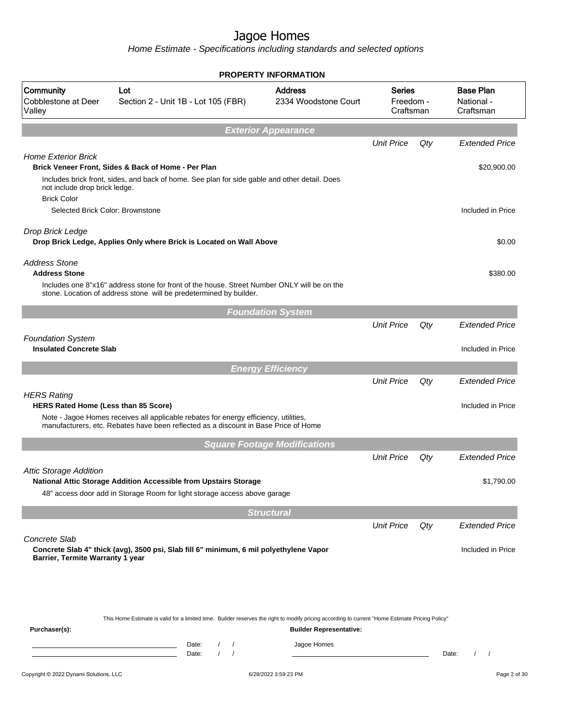|                                                                                         |                                                                                                                                                                                                                                                                                                                                               | <b>PROPERTY INFORMATION</b>                   |                                         |     |                                             |
|-----------------------------------------------------------------------------------------|-----------------------------------------------------------------------------------------------------------------------------------------------------------------------------------------------------------------------------------------------------------------------------------------------------------------------------------------------|-----------------------------------------------|-----------------------------------------|-----|---------------------------------------------|
| Community<br>Cobblestone at Deer<br>Valley                                              | Lot<br>Section 2 - Unit 1B - Lot 105 (FBR)                                                                                                                                                                                                                                                                                                    | <b>Address</b><br>2334 Woodstone Court        | <b>Series</b><br>Freedom -<br>Craftsman |     | <b>Base Plan</b><br>National -<br>Craftsman |
|                                                                                         |                                                                                                                                                                                                                                                                                                                                               | <b>Exterior Appearance</b>                    |                                         |     |                                             |
|                                                                                         |                                                                                                                                                                                                                                                                                                                                               |                                               | <b>Unit Price</b>                       | Qty | <b>Extended Price</b>                       |
| <b>Home Exterior Brick</b>                                                              | Brick Veneer Front, Sides & Back of Home - Per Plan<br>Includes brick front, sides, and back of home. See plan for side gable and other detail. Does                                                                                                                                                                                          |                                               |                                         |     | \$20,900.00                                 |
| not include drop brick ledge.<br><b>Brick Color</b><br>Selected Brick Color: Brownstone |                                                                                                                                                                                                                                                                                                                                               |                                               |                                         |     | Included in Price                           |
|                                                                                         |                                                                                                                                                                                                                                                                                                                                               |                                               |                                         |     |                                             |
| Drop Brick Ledge                                                                        | Drop Brick Ledge, Applies Only where Brick is Located on Wall Above                                                                                                                                                                                                                                                                           |                                               |                                         |     | \$0.00                                      |
| <b>Address Stone</b><br><b>Address Stone</b>                                            |                                                                                                                                                                                                                                                                                                                                               |                                               |                                         |     | \$380.00                                    |
|                                                                                         | Includes one 8"x16" address stone for front of the house. Street Number ONLY will be on the<br>stone. Location of address stone will be predetermined by builder.                                                                                                                                                                             |                                               |                                         |     |                                             |
|                                                                                         |                                                                                                                                                                                                                                                                                                                                               | <b>Foundation System</b>                      |                                         |     |                                             |
| <b>Foundation System</b>                                                                |                                                                                                                                                                                                                                                                                                                                               |                                               | <b>Unit Price</b>                       | Qty | <b>Extended Price</b>                       |
| <b>Insulated Concrete Slab</b>                                                          |                                                                                                                                                                                                                                                                                                                                               |                                               |                                         |     | Included in Price                           |
|                                                                                         |                                                                                                                                                                                                                                                                                                                                               | <b>Energy Efficiency</b>                      |                                         |     |                                             |
|                                                                                         |                                                                                                                                                                                                                                                                                                                                               |                                               | <b>Unit Price</b>                       | Qty | <b>Extended Price</b>                       |
| <b>HERS Rating</b><br>HERS Rated Home (Less than 85 Score)                              |                                                                                                                                                                                                                                                                                                                                               |                                               |                                         |     | Included in Price                           |
|                                                                                         | Note - Jagoe Homes receives all applicable rebates for energy efficiency, utilities,<br>manufacturers, etc. Rebates have been reflected as a discount in Base Price of Home                                                                                                                                                                   |                                               |                                         |     |                                             |
|                                                                                         |                                                                                                                                                                                                                                                                                                                                               | <b>Square Footage Modifications</b>           |                                         |     |                                             |
| <b>Attic Storage Addition</b>                                                           |                                                                                                                                                                                                                                                                                                                                               |                                               | <b>Unit Price</b>                       | Qty | <b>Extended Price</b>                       |
|                                                                                         | National Attic Storage Addition Accessible from Upstairs Storage<br>48" access door add in Storage Room for light storage access above garage                                                                                                                                                                                                 |                                               |                                         |     | \$1,790.00                                  |
|                                                                                         |                                                                                                                                                                                                                                                                                                                                               | <b>Structural</b>                             |                                         |     |                                             |
|                                                                                         |                                                                                                                                                                                                                                                                                                                                               |                                               | <b>Unit Price</b>                       | Qty | <b>Extended Price</b>                       |
| Concrete Slab<br>Barrier, Termite Warranty 1 year                                       | Concrete Slab 4" thick (avg), 3500 psi, Slab fill 6" minimum, 6 mil polyethylene Vapor                                                                                                                                                                                                                                                        |                                               |                                         |     | Included in Price                           |
| Purchaser(s):                                                                           | This Home Estimate is valid for a limited time. Builder reserves the right to modify pricing according to current "Home Estimate Pricing Policy"<br>Date:<br>$\sqrt{2}$<br>$\prime$<br><u> 1989 - Johann Barn, mars ann an t-Amhain an t-Amhain an t-Amhain an t-Amhain an t-Amhain an t-Amhain an t-Amh</u><br>$\prime$<br>$\prime$<br>Date: | <b>Builder Representative:</b><br>Jagoe Homes |                                         |     | Date:<br>$\prime$<br>$\prime$               |
|                                                                                         |                                                                                                                                                                                                                                                                                                                                               |                                               |                                         |     |                                             |
| Copyright © 2022 Dynami Solutions, LLC                                                  |                                                                                                                                                                                                                                                                                                                                               | 6/28/2022 3:59:23 PM                          |                                         |     | Page 2 of 30                                |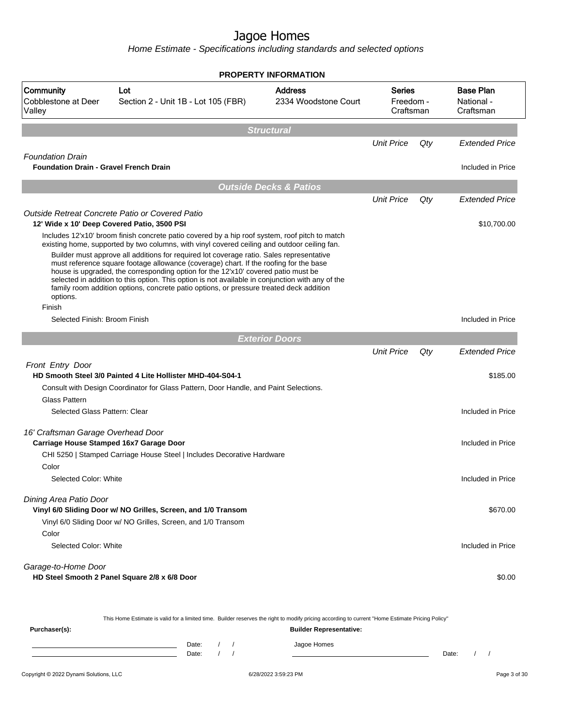Home Estimate - Specifications including standards and selected options

|                                                                          |                                                                                                                                                                                                                                                                                                                                                                                                                                                                       | <b>PROPERTY INFORMATION</b>            |                                         |     |                                             |
|--------------------------------------------------------------------------|-----------------------------------------------------------------------------------------------------------------------------------------------------------------------------------------------------------------------------------------------------------------------------------------------------------------------------------------------------------------------------------------------------------------------------------------------------------------------|----------------------------------------|-----------------------------------------|-----|---------------------------------------------|
| Community<br>Cobblestone at Deer<br>Valley                               | Lot<br>Section 2 - Unit 1B - Lot 105 (FBR)                                                                                                                                                                                                                                                                                                                                                                                                                            | <b>Address</b><br>2334 Woodstone Court | <b>Series</b><br>Freedom -<br>Craftsman |     | <b>Base Plan</b><br>National -<br>Craftsman |
|                                                                          |                                                                                                                                                                                                                                                                                                                                                                                                                                                                       | <b>Structural</b>                      |                                         |     |                                             |
|                                                                          |                                                                                                                                                                                                                                                                                                                                                                                                                                                                       |                                        | <b>Unit Price</b>                       | Qty | <b>Extended Price</b>                       |
| <b>Foundation Drain</b><br><b>Foundation Drain - Gravel French Drain</b> |                                                                                                                                                                                                                                                                                                                                                                                                                                                                       |                                        |                                         |     | Included in Price                           |
|                                                                          |                                                                                                                                                                                                                                                                                                                                                                                                                                                                       |                                        |                                         |     |                                             |
|                                                                          |                                                                                                                                                                                                                                                                                                                                                                                                                                                                       | <b>Outside Decks &amp; Patios</b>      | <b>Unit Price</b>                       | Qty | <b>Extended Price</b>                       |
|                                                                          | Outside Retreat Concrete Patio or Covered Patio                                                                                                                                                                                                                                                                                                                                                                                                                       |                                        |                                         |     |                                             |
|                                                                          | 12' Wide x 10' Deep Covered Patio, 3500 PSI                                                                                                                                                                                                                                                                                                                                                                                                                           |                                        |                                         |     | \$10,700.00                                 |
|                                                                          | Includes 12'x10' broom finish concrete patio covered by a hip roof system, roof pitch to match<br>existing home, supported by two columns, with vinyl covered ceiling and outdoor ceiling fan.                                                                                                                                                                                                                                                                        |                                        |                                         |     |                                             |
| options.                                                                 | Builder must approve all additions for required lot coverage ratio. Sales representative<br>must reference square footage allowance (coverage) chart. If the roofing for the base<br>house is upgraded, the corresponding option for the 12'x10' covered patio must be<br>selected in addition to this option. This option is not available in conjunction with any of the<br>family room addition options, concrete patio options, or pressure treated deck addition |                                        |                                         |     |                                             |
| Finish<br>Selected Finish: Broom Finish                                  |                                                                                                                                                                                                                                                                                                                                                                                                                                                                       |                                        |                                         |     | Included in Price                           |
|                                                                          |                                                                                                                                                                                                                                                                                                                                                                                                                                                                       |                                        |                                         |     |                                             |
|                                                                          |                                                                                                                                                                                                                                                                                                                                                                                                                                                                       | <b>Exterior Doors</b>                  |                                         |     |                                             |
|                                                                          |                                                                                                                                                                                                                                                                                                                                                                                                                                                                       |                                        | <b>Unit Price</b>                       | Qty | <b>Extended Price</b>                       |
| <b>Front Entry Door</b>                                                  | HD Smooth Steel 3/0 Painted 4 Lite Hollister MHD-404-S04-1                                                                                                                                                                                                                                                                                                                                                                                                            |                                        |                                         |     | \$185.00                                    |
|                                                                          | Consult with Design Coordinator for Glass Pattern, Door Handle, and Paint Selections.                                                                                                                                                                                                                                                                                                                                                                                 |                                        |                                         |     |                                             |
| <b>Glass Pattern</b>                                                     |                                                                                                                                                                                                                                                                                                                                                                                                                                                                       |                                        |                                         |     |                                             |
| Selected Glass Pattern: Clear                                            |                                                                                                                                                                                                                                                                                                                                                                                                                                                                       |                                        |                                         |     | Included in Price                           |
| 16' Craftsman Garage Overhead Door                                       |                                                                                                                                                                                                                                                                                                                                                                                                                                                                       |                                        |                                         |     |                                             |
|                                                                          | Carriage House Stamped 16x7 Garage Door                                                                                                                                                                                                                                                                                                                                                                                                                               |                                        |                                         |     | Included in Price                           |
|                                                                          | CHI 5250   Stamped Carriage House Steel   Includes Decorative Hardware                                                                                                                                                                                                                                                                                                                                                                                                |                                        |                                         |     |                                             |
| Color                                                                    |                                                                                                                                                                                                                                                                                                                                                                                                                                                                       |                                        |                                         |     |                                             |
| Selected Color: White                                                    |                                                                                                                                                                                                                                                                                                                                                                                                                                                                       |                                        |                                         |     | Included in Price                           |
| Dining Area Patio Door                                                   |                                                                                                                                                                                                                                                                                                                                                                                                                                                                       |                                        |                                         |     |                                             |
|                                                                          | Vinyl 6/0 Sliding Door w/ NO Grilles, Screen, and 1/0 Transom                                                                                                                                                                                                                                                                                                                                                                                                         |                                        |                                         |     | \$670.00                                    |
|                                                                          | Vinyl 6/0 Sliding Door w/ NO Grilles, Screen, and 1/0 Transom                                                                                                                                                                                                                                                                                                                                                                                                         |                                        |                                         |     |                                             |
| Color                                                                    |                                                                                                                                                                                                                                                                                                                                                                                                                                                                       |                                        |                                         |     |                                             |
| Selected Color: White                                                    |                                                                                                                                                                                                                                                                                                                                                                                                                                                                       |                                        |                                         |     | Included in Price                           |
| Garage-to-Home Door                                                      | HD Steel Smooth 2 Panel Square 2/8 x 6/8 Door                                                                                                                                                                                                                                                                                                                                                                                                                         |                                        |                                         |     | \$0.00                                      |
|                                                                          |                                                                                                                                                                                                                                                                                                                                                                                                                                                                       |                                        |                                         |     |                                             |
|                                                                          |                                                                                                                                                                                                                                                                                                                                                                                                                                                                       |                                        |                                         |     |                                             |

This Home Estimate is valid for a limited time. Builder reserves the right to modify pricing according to current "Home Estimate Pricing Policy"

| Purchaser(s): |                |  | <b>Builder Representative:</b> |       |  |
|---------------|----------------|--|--------------------------------|-------|--|
|               | Date:<br>Date: |  | Jagoe Homes                    | Date: |  |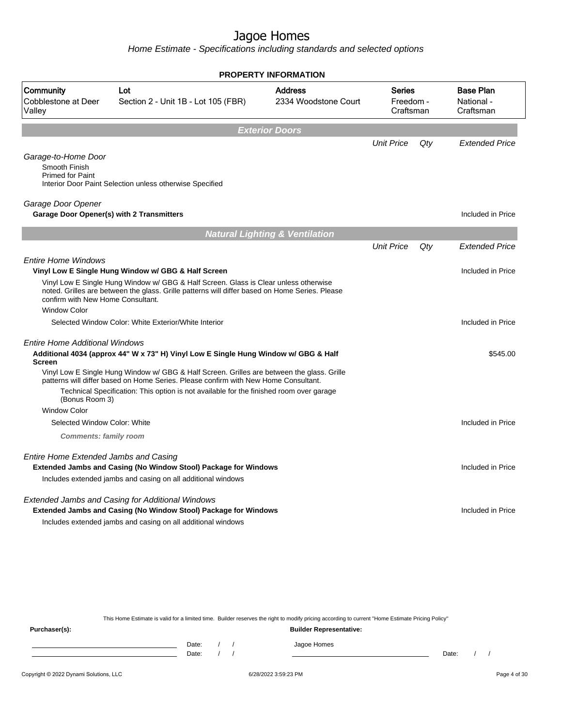Home Estimate - Specifications including standards and selected options

|                                                                 |                                                                                                                                                                                                                                                                          | <b>PROPERTY INFORMATION</b>               |                                  |     |                                             |
|-----------------------------------------------------------------|--------------------------------------------------------------------------------------------------------------------------------------------------------------------------------------------------------------------------------------------------------------------------|-------------------------------------------|----------------------------------|-----|---------------------------------------------|
| Community<br>Cobblestone at Deer<br>Valley                      | Lot<br>Section 2 - Unit 1B - Lot 105 (FBR)                                                                                                                                                                                                                               | <b>Address</b><br>2334 Woodstone Court    | Series<br>Freedom -<br>Craftsman |     | <b>Base Plan</b><br>National -<br>Craftsman |
|                                                                 |                                                                                                                                                                                                                                                                          | <b>Exterior Doors</b>                     |                                  |     |                                             |
|                                                                 |                                                                                                                                                                                                                                                                          |                                           | <b>Unit Price</b>                | Qty | <b>Extended Price</b>                       |
| Garage-to-Home Door<br>Smooth Finish<br><b>Primed for Paint</b> | Interior Door Paint Selection unless otherwise Specified                                                                                                                                                                                                                 |                                           |                                  |     |                                             |
| Garage Door Opener                                              | Garage Door Opener(s) with 2 Transmitters                                                                                                                                                                                                                                |                                           |                                  |     | Included in Price                           |
|                                                                 |                                                                                                                                                                                                                                                                          | <b>Natural Lighting &amp; Ventilation</b> |                                  |     |                                             |
|                                                                 |                                                                                                                                                                                                                                                                          |                                           | <b>Unit Price</b>                | Qty | <b>Extended Price</b>                       |
| <b>Entire Home Windows</b>                                      |                                                                                                                                                                                                                                                                          |                                           |                                  |     |                                             |
|                                                                 | Vinyl Low E Single Hung Window w/ GBG & Half Screen                                                                                                                                                                                                                      |                                           |                                  |     | Included in Price                           |
| confirm with New Home Consultant.                               | Vinyl Low E Single Hung Window w/ GBG & Half Screen. Glass is Clear unless otherwise<br>noted. Grilles are between the glass. Grille patterns will differ based on Home Series. Please                                                                                   |                                           |                                  |     |                                             |
| <b>Window Color</b>                                             |                                                                                                                                                                                                                                                                          |                                           |                                  |     |                                             |
|                                                                 | Selected Window Color: White Exterior/White Interior                                                                                                                                                                                                                     |                                           |                                  |     | Included in Price                           |
| <b>Entire Home Additional Windows</b><br><b>Screen</b>          | Additional 4034 (approx 44" W x 73" H) Vinyl Low E Single Hung Window w/ GBG & Half<br>Vinyl Low E Single Hung Window w/ GBG & Half Screen. Grilles are between the glass. Grille<br>patterns will differ based on Home Series. Please confirm with New Home Consultant. |                                           |                                  |     | \$545.00                                    |
| (Bonus Room 3)                                                  | Technical Specification: This option is not available for the finished room over garage                                                                                                                                                                                  |                                           |                                  |     |                                             |
| <b>Window Color</b>                                             |                                                                                                                                                                                                                                                                          |                                           |                                  |     |                                             |
| Selected Window Color: White                                    |                                                                                                                                                                                                                                                                          |                                           |                                  |     | Included in Price                           |
| <b>Comments: family room</b>                                    |                                                                                                                                                                                                                                                                          |                                           |                                  |     |                                             |
| Entire Home Extended Jambs and Casing                           | <b>Extended Jambs and Casing (No Window Stool) Package for Windows</b><br>Includes extended jambs and casing on all additional windows                                                                                                                                   |                                           |                                  |     | Included in Price                           |
|                                                                 | <b>Extended Jambs and Casing for Additional Windows</b><br>Extended Jambs and Casing (No Window Stool) Package for Windows<br>Includes extended jambs and casing on all additional windows                                                                               |                                           |                                  |     | Included in Price                           |
|                                                                 |                                                                                                                                                                                                                                                                          |                                           |                                  |     |                                             |
|                                                                 |                                                                                                                                                                                                                                                                          |                                           |                                  |     |                                             |

This Home Estimate is valid for a limited time. Builder reserves the right to modify pricing according to current "Home Estimate Pricing Policy"

**Purchaser(s): Builder Representative:** Date: / / Jagoe Homes<br>Date: / / Jagoe Homes Date: / / Date: / /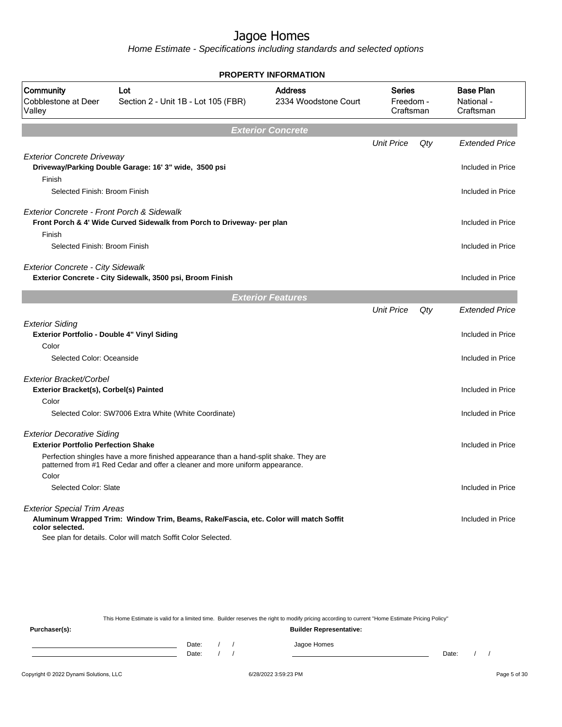|                                                                                 |                                                                                                                                                                       | <b>PROPERTY INFORMATION</b> |                                             |     |                       |
|---------------------------------------------------------------------------------|-----------------------------------------------------------------------------------------------------------------------------------------------------------------------|-----------------------------|---------------------------------------------|-----|-----------------------|
| <b>Community</b><br>Cobblestone at Deer<br>Valley                               | <b>Address</b><br>Lot<br><b>Series</b><br>2334 Woodstone Court<br>Freedom -<br>Section 2 - Unit 1B - Lot 105 (FBR)<br>Craftsman                                       |                             | <b>Base Plan</b><br>National -<br>Craftsman |     |                       |
|                                                                                 |                                                                                                                                                                       | <b>Exterior Concrete</b>    |                                             |     |                       |
|                                                                                 |                                                                                                                                                                       |                             | <b>Unit Price</b>                           | Qty | <b>Extended Price</b> |
| <b>Exterior Concrete Driveway</b><br>Finish                                     | Driveway/Parking Double Garage: 16' 3" wide, 3500 psi                                                                                                                 |                             |                                             |     | Included in Price     |
| Selected Finish: Broom Finish                                                   |                                                                                                                                                                       |                             |                                             |     | Included in Price     |
| Exterior Concrete - Front Porch & Sidewalk<br>Finish                            | Front Porch & 4' Wide Curved Sidewalk from Porch to Driveway- per plan                                                                                                |                             |                                             |     | Included in Price     |
| Selected Finish: Broom Finish                                                   |                                                                                                                                                                       |                             |                                             |     | Included in Price     |
| <b>Exterior Concrete - City Sidewalk</b>                                        | Exterior Concrete - City Sidewalk, 3500 psi, Broom Finish                                                                                                             |                             |                                             |     | Included in Price     |
|                                                                                 |                                                                                                                                                                       | <b>Exterior Features</b>    |                                             |     |                       |
|                                                                                 |                                                                                                                                                                       |                             | <b>Unit Price</b>                           | Qty | <b>Extended Price</b> |
| <b>Exterior Siding</b><br>Exterior Portfolio - Double 4" Vinyl Siding<br>Color  |                                                                                                                                                                       |                             |                                             |     | Included in Price     |
| Selected Color: Oceanside                                                       |                                                                                                                                                                       |                             |                                             |     | Included in Price     |
|                                                                                 |                                                                                                                                                                       |                             |                                             |     |                       |
| Exterior Bracket/Corbel<br>Exterior Bracket(s), Corbel(s) Painted               |                                                                                                                                                                       |                             |                                             |     | Included in Price     |
| Color                                                                           |                                                                                                                                                                       |                             |                                             |     |                       |
|                                                                                 | Selected Color: SW7006 Extra White (White Coordinate)                                                                                                                 |                             |                                             |     | Included in Price     |
| <b>Exterior Decorative Siding</b><br><b>Exterior Portfolio Perfection Shake</b> |                                                                                                                                                                       |                             |                                             |     | Included in Price     |
| Color                                                                           | Perfection shingles have a more finished appearance than a hand-split shake. They are<br>patterned from #1 Red Cedar and offer a cleaner and more uniform appearance. |                             |                                             |     |                       |
| Selected Color: Slate                                                           |                                                                                                                                                                       |                             |                                             |     | Included in Price     |
| <b>Exterior Special Trim Areas</b><br>color selected.                           | Aluminum Wrapped Trim: Window Trim, Beams, Rake/Fascia, etc. Color will match Soffit<br>See plan for details. Color will match Soffit Color Selected.                 |                             |                                             |     | Included in Price     |
|                                                                                 |                                                                                                                                                                       |                             |                                             |     |                       |

|               | This Home Estimate is valid for a limited time. Builder reserves the right to modify pricing according to current "Home Estimate Pricing Policy" |  |  |  |             |       |  |  |  |  |
|---------------|--------------------------------------------------------------------------------------------------------------------------------------------------|--|--|--|-------------|-------|--|--|--|--|
| Purchaser(s): | <b>Builder Representative:</b>                                                                                                                   |  |  |  |             |       |  |  |  |  |
|               | Date:                                                                                                                                            |  |  |  | Jagoe Homes |       |  |  |  |  |
|               | Date:                                                                                                                                            |  |  |  |             | Date: |  |  |  |  |
|               |                                                                                                                                                  |  |  |  |             |       |  |  |  |  |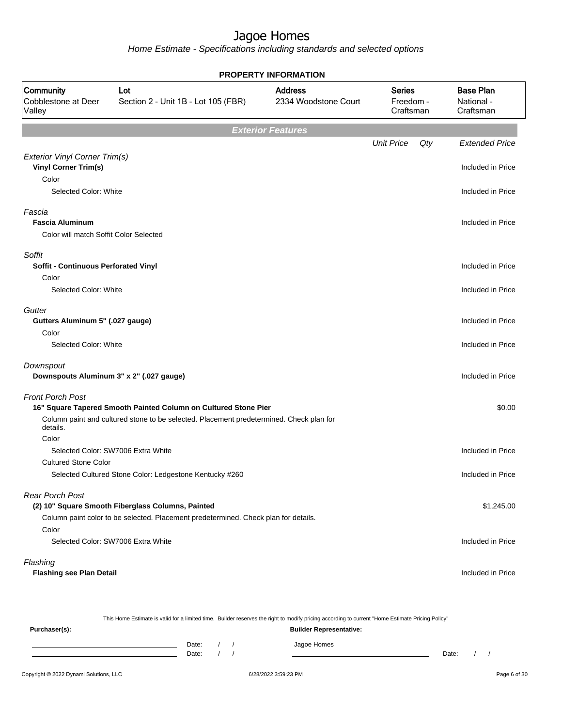| <b>PROPERTY INFORMATION</b>                                         |                                                                                                                                          |                                        |                                  |     |                                             |  |  |
|---------------------------------------------------------------------|------------------------------------------------------------------------------------------------------------------------------------------|----------------------------------------|----------------------------------|-----|---------------------------------------------|--|--|
| Community<br>Cobblestone at Deer<br>Valley                          | Lot<br>Section 2 - Unit 1B - Lot 105 (FBR)                                                                                               | <b>Address</b><br>2334 Woodstone Court | Series<br>Freedom -<br>Craftsman |     | <b>Base Plan</b><br>National -<br>Craftsman |  |  |
|                                                                     |                                                                                                                                          | <b>Exterior Features</b>               |                                  |     |                                             |  |  |
|                                                                     |                                                                                                                                          |                                        | <b>Unit Price</b>                | Qty | <b>Extended Price</b>                       |  |  |
| <b>Exterior Vinyl Corner Trim(s)</b><br><b>Vinyl Corner Trim(s)</b> |                                                                                                                                          |                                        |                                  |     | Included in Price                           |  |  |
| Color                                                               |                                                                                                                                          |                                        |                                  |     |                                             |  |  |
| Selected Color: White                                               |                                                                                                                                          |                                        |                                  |     | Included in Price                           |  |  |
| Fascia                                                              |                                                                                                                                          |                                        |                                  |     |                                             |  |  |
| <b>Fascia Aluminum</b>                                              |                                                                                                                                          |                                        |                                  |     | Included in Price                           |  |  |
| Color will match Soffit Color Selected                              |                                                                                                                                          |                                        |                                  |     |                                             |  |  |
| Soffit                                                              |                                                                                                                                          |                                        |                                  |     |                                             |  |  |
| <b>Soffit - Continuous Perforated Vinyl</b>                         |                                                                                                                                          |                                        |                                  |     | Included in Price                           |  |  |
| Color<br>Selected Color: White                                      |                                                                                                                                          |                                        |                                  |     | Included in Price                           |  |  |
|                                                                     |                                                                                                                                          |                                        |                                  |     |                                             |  |  |
| Gutter<br>Gutters Aluminum 5" (.027 gauge)                          |                                                                                                                                          |                                        |                                  |     | Included in Price                           |  |  |
| Color                                                               |                                                                                                                                          |                                        |                                  |     |                                             |  |  |
| Selected Color: White                                               |                                                                                                                                          |                                        |                                  |     | Included in Price                           |  |  |
| Downspout                                                           |                                                                                                                                          |                                        |                                  |     |                                             |  |  |
| Downspouts Aluminum 3" x 2" (.027 gauge)                            |                                                                                                                                          |                                        |                                  |     | Included in Price                           |  |  |
| <b>Front Porch Post</b>                                             |                                                                                                                                          |                                        |                                  |     |                                             |  |  |
|                                                                     | 16" Square Tapered Smooth Painted Column on Cultured Stone Pier                                                                          |                                        |                                  |     | \$0.00                                      |  |  |
| details.                                                            | Column paint and cultured stone to be selected. Placement predetermined. Check plan for                                                  |                                        |                                  |     |                                             |  |  |
| Color                                                               |                                                                                                                                          |                                        |                                  |     |                                             |  |  |
|                                                                     | Selected Color: SW7006 Extra White                                                                                                       |                                        |                                  |     | Included in Price                           |  |  |
| <b>Cultured Stone Color</b>                                         |                                                                                                                                          |                                        |                                  |     | Included in Price                           |  |  |
|                                                                     | Selected Cultured Stone Color: Ledgestone Kentucky #260                                                                                  |                                        |                                  |     |                                             |  |  |
| <b>Rear Porch Post</b>                                              |                                                                                                                                          |                                        |                                  |     |                                             |  |  |
|                                                                     | (2) 10" Square Smooth Fiberglass Columns, Painted<br>Column paint color to be selected. Placement predetermined. Check plan for details. |                                        |                                  |     | \$1,245.00                                  |  |  |
| Color                                                               |                                                                                                                                          |                                        |                                  |     |                                             |  |  |
|                                                                     | Selected Color: SW7006 Extra White                                                                                                       |                                        |                                  |     | Included in Price                           |  |  |
| Flashing                                                            |                                                                                                                                          |                                        |                                  |     |                                             |  |  |
| <b>Flashing see Plan Detail</b>                                     |                                                                                                                                          |                                        |                                  |     | Included in Price                           |  |  |
|                                                                     |                                                                                                                                          |                                        |                                  |     |                                             |  |  |

| This Home Estimate is valid for a limited time. Builder reserves the right to modify pricing according to current "Home Estimate Pricing Policy" |       |  |  |                                |       |  |  |
|--------------------------------------------------------------------------------------------------------------------------------------------------|-------|--|--|--------------------------------|-------|--|--|
| Purchaser(s):                                                                                                                                    |       |  |  | <b>Builder Representative:</b> |       |  |  |
|                                                                                                                                                  | Date: |  |  | Jagoe Homes                    |       |  |  |
|                                                                                                                                                  | Date: |  |  |                                | Date: |  |  |
|                                                                                                                                                  |       |  |  |                                |       |  |  |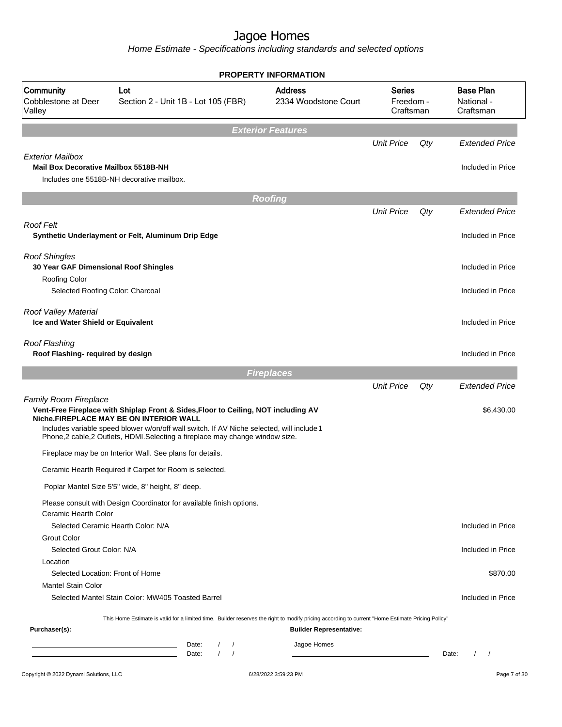|                                                                        |                                                                                                                                                                                                                                                                                                           | <b>PROPERTY INFORMATION</b>            |                                         |     |                                               |
|------------------------------------------------------------------------|-----------------------------------------------------------------------------------------------------------------------------------------------------------------------------------------------------------------------------------------------------------------------------------------------------------|----------------------------------------|-----------------------------------------|-----|-----------------------------------------------|
| Community<br>Cobblestone at Deer<br>Valley                             | Lot<br>Section 2 - Unit 1B - Lot 105 (FBR)                                                                                                                                                                                                                                                                | <b>Address</b><br>2334 Woodstone Court | <b>Series</b><br>Freedom -<br>Craftsman |     | <b>Base Plan</b><br>National -<br>Craftsman   |
|                                                                        |                                                                                                                                                                                                                                                                                                           | <b>Exterior Features</b>               |                                         |     |                                               |
|                                                                        |                                                                                                                                                                                                                                                                                                           |                                        | <b>Unit Price</b>                       | Qty | <b>Extended Price</b>                         |
| <b>Exterior Mailbox</b><br><b>Mail Box Decorative Mailbox 5518B-NH</b> |                                                                                                                                                                                                                                                                                                           |                                        |                                         |     | Included in Price                             |
|                                                                        | Includes one 5518B-NH decorative mailbox.                                                                                                                                                                                                                                                                 |                                        |                                         |     |                                               |
|                                                                        |                                                                                                                                                                                                                                                                                                           |                                        |                                         |     |                                               |
|                                                                        |                                                                                                                                                                                                                                                                                                           | <b>Roofing</b>                         | <b>Unit Price</b>                       |     | <b>Extended Price</b>                         |
|                                                                        |                                                                                                                                                                                                                                                                                                           |                                        |                                         | Qty |                                               |
| <b>Roof Felt</b>                                                       | Synthetic Underlayment or Felt, Aluminum Drip Edge                                                                                                                                                                                                                                                        |                                        |                                         |     | Included in Price                             |
| <b>Roof Shingles</b>                                                   |                                                                                                                                                                                                                                                                                                           |                                        |                                         |     |                                               |
| 30 Year GAF Dimensional Roof Shingles                                  |                                                                                                                                                                                                                                                                                                           |                                        |                                         |     | Included in Price                             |
| Roofing Color<br>Selected Roofing Color: Charcoal                      |                                                                                                                                                                                                                                                                                                           |                                        |                                         |     | Included in Price                             |
|                                                                        |                                                                                                                                                                                                                                                                                                           |                                        |                                         |     |                                               |
| Roof Valley Material<br>Ice and Water Shield or Equivalent             |                                                                                                                                                                                                                                                                                                           |                                        |                                         |     | Included in Price                             |
| <b>Roof Flashing</b><br>Roof Flashing- required by design              |                                                                                                                                                                                                                                                                                                           |                                        |                                         |     | Included in Price                             |
|                                                                        |                                                                                                                                                                                                                                                                                                           | <b>Fireplaces</b>                      |                                         |     |                                               |
|                                                                        |                                                                                                                                                                                                                                                                                                           |                                        | <b>Unit Price</b>                       | Qty | <b>Extended Price</b>                         |
| <b>Family Room Fireplace</b>                                           | Vent-Free Fireplace with Shiplap Front & Sides, Floor to Ceiling, NOT including AV<br>Niche.FIREPLACE MAY BE ON INTERIOR WALL<br>Includes variable speed blower w/on/off wall switch. If AV Niche selected, will include 1<br>Phone,2 cable,2 Outlets, HDMI.Selecting a fireplace may change window size. |                                        |                                         |     | \$6,430.00                                    |
|                                                                        | Fireplace may be on Interior Wall. See plans for details.                                                                                                                                                                                                                                                 |                                        |                                         |     |                                               |
|                                                                        | Ceramic Hearth Required if Carpet for Room is selected.                                                                                                                                                                                                                                                   |                                        |                                         |     |                                               |
|                                                                        |                                                                                                                                                                                                                                                                                                           |                                        |                                         |     |                                               |
|                                                                        | Poplar Mantel Size 5'5" wide, 8" height, 8" deep.<br>Please consult with Design Coordinator for available finish options.                                                                                                                                                                                 |                                        |                                         |     |                                               |
| Ceramic Hearth Color                                                   | Selected Ceramic Hearth Color: N/A                                                                                                                                                                                                                                                                        |                                        |                                         |     | Included in Price                             |
| <b>Grout Color</b><br>Selected Grout Color: N/A                        |                                                                                                                                                                                                                                                                                                           |                                        |                                         |     | Included in Price                             |
| Location                                                               |                                                                                                                                                                                                                                                                                                           |                                        |                                         |     |                                               |
| Selected Location: Front of Home                                       |                                                                                                                                                                                                                                                                                                           |                                        |                                         |     | \$870.00                                      |
| <b>Mantel Stain Color</b>                                              |                                                                                                                                                                                                                                                                                                           |                                        |                                         |     |                                               |
|                                                                        | Selected Mantel Stain Color: MW405 Toasted Barrel                                                                                                                                                                                                                                                         |                                        |                                         |     | Included in Price                             |
|                                                                        | This Home Estimate is valid for a limited time. Builder reserves the right to modify pricing according to current "Home Estimate Pricing Policy"                                                                                                                                                          |                                        |                                         |     |                                               |
| Purchaser(s):                                                          |                                                                                                                                                                                                                                                                                                           | <b>Builder Representative:</b>         |                                         |     |                                               |
|                                                                        | Date:<br>$\prime$<br>$\prime$                                                                                                                                                                                                                                                                             | Jagoe Homes                            |                                         |     |                                               |
|                                                                        | $\prime$<br>Date:<br>$\prime$                                                                                                                                                                                                                                                                             |                                        |                                         |     | $\prime$<br>Date:<br>$\overline{\phantom{a}}$ |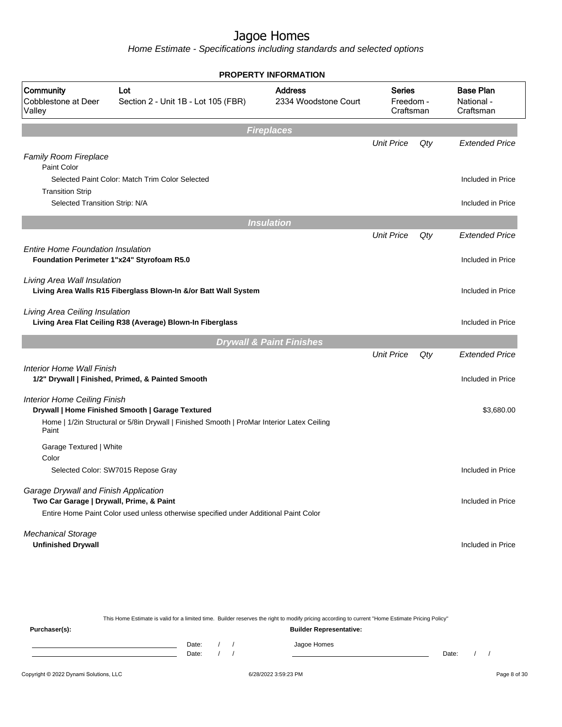Home Estimate - Specifications including standards and selected options

|                                                                                   |                                                                                                                                                | <b>PROPERTY INFORMATION</b>            |                                         |     |                                             |
|-----------------------------------------------------------------------------------|------------------------------------------------------------------------------------------------------------------------------------------------|----------------------------------------|-----------------------------------------|-----|---------------------------------------------|
| Community<br>Cobblestone at Deer<br>Valley                                        | Lot<br>Section 2 - Unit 1B - Lot 105 (FBR)                                                                                                     | <b>Address</b><br>2334 Woodstone Court | <b>Series</b><br>Freedom -<br>Craftsman |     | <b>Base Plan</b><br>National -<br>Craftsman |
|                                                                                   |                                                                                                                                                | <b>Fireplaces</b>                      |                                         |     |                                             |
| <b>Family Room Fireplace</b>                                                      |                                                                                                                                                |                                        | <b>Unit Price</b>                       | Qty | <b>Extended Price</b>                       |
| Paint Color                                                                       |                                                                                                                                                |                                        |                                         |     |                                             |
| <b>Transition Strip</b>                                                           | Selected Paint Color: Match Trim Color Selected                                                                                                |                                        |                                         |     | Included in Price                           |
| Selected Transition Strip: N/A                                                    |                                                                                                                                                |                                        |                                         |     | Included in Price                           |
|                                                                                   |                                                                                                                                                | <b>Insulation</b>                      |                                         |     |                                             |
|                                                                                   |                                                                                                                                                |                                        | <b>Unit Price</b>                       | Qty | <b>Extended Price</b>                       |
| <b>Entire Home Foundation Insulation</b>                                          | Foundation Perimeter 1"x24" Styrofoam R5.0                                                                                                     |                                        |                                         |     | Included in Price                           |
| Living Area Wall Insulation                                                       | Living Area Walls R15 Fiberglass Blown-In &/or Batt Wall System                                                                                |                                        |                                         |     | Included in Price                           |
| Living Area Ceiling Insulation                                                    | Living Area Flat Ceiling R38 (Average) Blown-In Fiberglass                                                                                     |                                        |                                         |     | Included in Price                           |
|                                                                                   |                                                                                                                                                | <b>Drywall &amp; Paint Finishes</b>    |                                         |     |                                             |
|                                                                                   |                                                                                                                                                |                                        | <b>Unit Price</b>                       | Qty | <b>Extended Price</b>                       |
| Interior Home Wall Finish                                                         | 1/2" Drywall   Finished, Primed, & Painted Smooth                                                                                              |                                        |                                         |     | Included in Price                           |
| <b>Interior Home Ceiling Finish</b><br>Paint                                      | Drywall   Home Finished Smooth   Garage Textured<br>Home   1/2in Structural or 5/8in Drywall   Finished Smooth   ProMar Interior Latex Ceiling |                                        |                                         |     | \$3,680.00                                  |
| Garage Textured   White<br>Color                                                  |                                                                                                                                                |                                        |                                         |     |                                             |
|                                                                                   | Selected Color: SW7015 Repose Gray                                                                                                             |                                        |                                         |     | Included in Price                           |
| Garage Drywall and Finish Application<br>Two Car Garage   Drywall, Prime, & Paint | Entire Home Paint Color used unless otherwise specified under Additional Paint Color                                                           |                                        |                                         |     | Included in Price                           |
| <b>Mechanical Storage</b><br><b>Unfinished Drywall</b>                            |                                                                                                                                                |                                        |                                         |     | Included in Price                           |

This Home Estimate is valid for a limited time. Builder reserves the right to modify pricing according to current "Home Estimate Pricing Policy" **Purchaser(s): Builder Representative:** Date: / / Jagoe Homes<br>Date: / / Jagoe Homes Date: / / Date: / /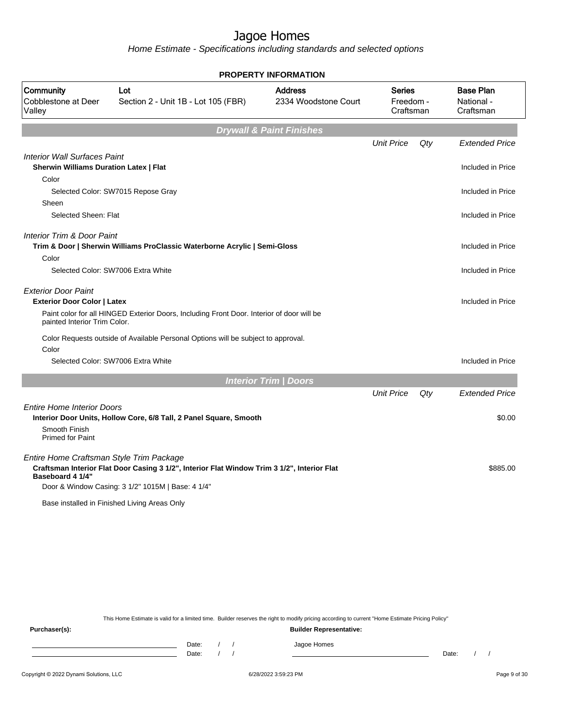Home Estimate - Specifications including standards and selected options

|                                                                                      |                                                                                                                                                  | <b>PROPERTY INFORMATION</b>            |                                         |     |                                             |
|--------------------------------------------------------------------------------------|--------------------------------------------------------------------------------------------------------------------------------------------------|----------------------------------------|-----------------------------------------|-----|---------------------------------------------|
| Community<br>Cobblestone at Deer<br>Valley                                           | Lot<br>Section 2 - Unit 1B - Lot 105 (FBR)                                                                                                       | <b>Address</b><br>2334 Woodstone Court | <b>Series</b><br>Freedom -<br>Craftsman |     | <b>Base Plan</b><br>National -<br>Craftsman |
|                                                                                      |                                                                                                                                                  | <b>Drywall &amp; Paint Finishes</b>    |                                         |     |                                             |
|                                                                                      |                                                                                                                                                  |                                        | <b>Unit Price</b>                       | Qty | <b>Extended Price</b>                       |
| <b>Interior Wall Surfaces Paint</b><br><b>Sherwin Williams Duration Latex   Flat</b> |                                                                                                                                                  |                                        |                                         |     | Included in Price                           |
| Color                                                                                |                                                                                                                                                  |                                        |                                         |     |                                             |
|                                                                                      | Selected Color: SW7015 Repose Gray                                                                                                               |                                        |                                         |     | Included in Price                           |
| Sheen                                                                                |                                                                                                                                                  |                                        |                                         |     |                                             |
| Selected Sheen: Flat                                                                 |                                                                                                                                                  |                                        |                                         |     | Included in Price                           |
| <b>Interior Trim &amp; Door Paint</b>                                                | Trim & Door   Sherwin Williams ProClassic Waterborne Acrylic   Semi-Gloss                                                                        |                                        |                                         |     | Included in Price                           |
| Color                                                                                |                                                                                                                                                  |                                        |                                         |     |                                             |
|                                                                                      | Selected Color: SW7006 Extra White                                                                                                               |                                        |                                         |     | Included in Price                           |
| <b>Exterior Door Paint</b><br><b>Exterior Door Color   Latex</b>                     | Paint color for all HINGED Exterior Doors, Including Front Door. Interior of door will be                                                        |                                        |                                         |     | Included in Price                           |
| painted Interior Trim Color.                                                         |                                                                                                                                                  |                                        |                                         |     |                                             |
| Color                                                                                | Color Requests outside of Available Personal Options will be subject to approval.                                                                |                                        |                                         |     |                                             |
|                                                                                      | Selected Color: SW7006 Extra White                                                                                                               |                                        |                                         |     | Included in Price                           |
|                                                                                      |                                                                                                                                                  | <b>Interior Trim / Doors</b>           |                                         |     |                                             |
|                                                                                      |                                                                                                                                                  |                                        | <b>Unit Price</b>                       | Qty | <b>Extended Price</b>                       |
| <b>Entire Home Interior Doors</b><br>Smooth Finish                                   | Interior Door Units, Hollow Core, 6/8 Tall, 2 Panel Square, Smooth                                                                               |                                        |                                         |     | \$0.00                                      |
| <b>Primed for Paint</b>                                                              |                                                                                                                                                  |                                        |                                         |     |                                             |
| Entire Home Craftsman Style Trim Package<br>Baseboard 4 1/4"                         | Craftsman Interior Flat Door Casing 3 1/2", Interior Flat Window Trim 3 1/2", Interior Flat<br>Door & Window Casing: 3 1/2" 1015M   Base: 4 1/4" |                                        |                                         |     | \$885.00                                    |
|                                                                                      | Base installed in Finished Living Areas Only                                                                                                     |                                        |                                         |     |                                             |

This Home Estimate is valid for a limited time. Builder reserves the right to modify pricing according to current "Home Estimate Pricing Policy"

**Purchaser(s): Builder Representative:** Date: / / Jagoe Homes<br>Date: / / Jagoe Homes Date: / / **Date: / / 2006** Date: / / / Date: / / /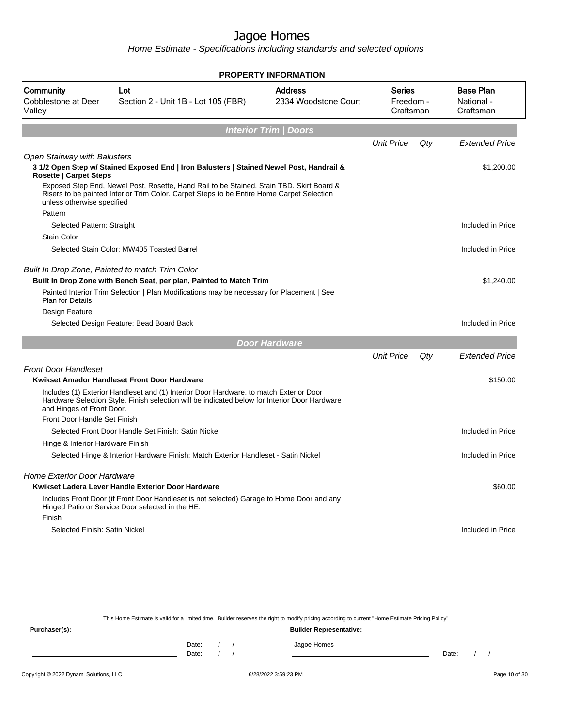Home Estimate - Specifications including standards and selected options

| <b>PROPERTY INFORMATION</b>                                          |                                                                                                                                                                                         |                                        |                                  |     |                                             |  |  |  |  |
|----------------------------------------------------------------------|-----------------------------------------------------------------------------------------------------------------------------------------------------------------------------------------|----------------------------------------|----------------------------------|-----|---------------------------------------------|--|--|--|--|
| Community<br><b>Cobblestone at Deer</b><br>Valley                    | Lot<br>Section 2 - Unit 1B - Lot 105 (FBR)                                                                                                                                              | <b>Address</b><br>2334 Woodstone Court | Series<br>Freedom -<br>Craftsman |     | <b>Base Plan</b><br>National -<br>Craftsman |  |  |  |  |
| <b>Interior Trim / Doors</b>                                         |                                                                                                                                                                                         |                                        |                                  |     |                                             |  |  |  |  |
|                                                                      |                                                                                                                                                                                         |                                        | <b>Unit Price</b>                | Qty | <b>Extended Price</b>                       |  |  |  |  |
| <b>Open Stairway with Balusters</b><br><b>Rosette   Carpet Steps</b> | 3 1/2 Open Step w/ Stained Exposed End   Iron Balusters   Stained Newel Post, Handrail &                                                                                                |                                        |                                  |     | \$1,200.00                                  |  |  |  |  |
| unless otherwise specified                                           | Exposed Step End, Newel Post, Rosette, Hand Rail to be Stained. Stain TBD. Skirt Board &<br>Risers to be painted Interior Trim Color. Carpet Steps to be Entire Home Carpet Selection   |                                        |                                  |     |                                             |  |  |  |  |
| Pattern                                                              |                                                                                                                                                                                         |                                        |                                  |     |                                             |  |  |  |  |
| Selected Pattern: Straight                                           |                                                                                                                                                                                         |                                        |                                  |     | Included in Price                           |  |  |  |  |
| <b>Stain Color</b>                                                   |                                                                                                                                                                                         |                                        |                                  |     |                                             |  |  |  |  |
|                                                                      | Selected Stain Color: MW405 Toasted Barrel                                                                                                                                              |                                        |                                  |     | Included in Price                           |  |  |  |  |
| Built In Drop Zone, Painted to match Trim Color                      | Built In Drop Zone with Bench Seat, per plan, Painted to Match Trim                                                                                                                     |                                        |                                  |     | \$1,240.00                                  |  |  |  |  |
| <b>Plan for Details</b>                                              | Painted Interior Trim Selection   Plan Modifications may be necessary for Placement   See                                                                                               |                                        |                                  |     |                                             |  |  |  |  |
| Design Feature                                                       |                                                                                                                                                                                         |                                        |                                  |     |                                             |  |  |  |  |
|                                                                      | Selected Design Feature: Bead Board Back                                                                                                                                                |                                        |                                  |     | Included in Price                           |  |  |  |  |
|                                                                      |                                                                                                                                                                                         | <b>Door Hardware</b>                   |                                  |     |                                             |  |  |  |  |
|                                                                      |                                                                                                                                                                                         |                                        | <b>Unit Price</b>                | Qty | <b>Extended Price</b>                       |  |  |  |  |
| <b>Front Door Handleset</b>                                          |                                                                                                                                                                                         |                                        |                                  |     |                                             |  |  |  |  |
|                                                                      | Kwikset Amador Handleset Front Door Hardware                                                                                                                                            |                                        |                                  |     | \$150.00                                    |  |  |  |  |
| and Hinges of Front Door.                                            | Includes (1) Exterior Handleset and (1) Interior Door Hardware, to match Exterior Door<br>Hardware Selection Style. Finish selection will be indicated below for Interior Door Hardware |                                        |                                  |     |                                             |  |  |  |  |
| Front Door Handle Set Finish                                         |                                                                                                                                                                                         |                                        |                                  |     |                                             |  |  |  |  |
|                                                                      | Selected Front Door Handle Set Finish: Satin Nickel                                                                                                                                     |                                        |                                  |     | Included in Price                           |  |  |  |  |
| Hinge & Interior Hardware Finish                                     |                                                                                                                                                                                         |                                        |                                  |     |                                             |  |  |  |  |
|                                                                      | Selected Hinge & Interior Hardware Finish: Match Exterior Handleset - Satin Nickel                                                                                                      |                                        |                                  |     | Included in Price                           |  |  |  |  |
| <b>Home Exterior Door Hardware</b>                                   | Kwikset Ladera Lever Handle Exterior Door Hardware                                                                                                                                      |                                        |                                  |     | \$60.00                                     |  |  |  |  |
|                                                                      | Includes Front Door (if Front Door Handleset is not selected) Garage to Home Door and any<br>Hinged Patio or Service Door selected in the HE.                                           |                                        |                                  |     |                                             |  |  |  |  |
| Finish                                                               |                                                                                                                                                                                         |                                        |                                  |     |                                             |  |  |  |  |
| Selected Finish: Satin Nickel                                        |                                                                                                                                                                                         |                                        |                                  |     | Included in Price                           |  |  |  |  |

This Home Estimate is valid for a limited time. Builder reserves the right to modify pricing according to current "Home Estimate Pricing Policy" **Purchaser(s): Builder Representative:** Date: / / Jagoe Homes<br>Date: / / Jagoe Homes Date: / / Date: / /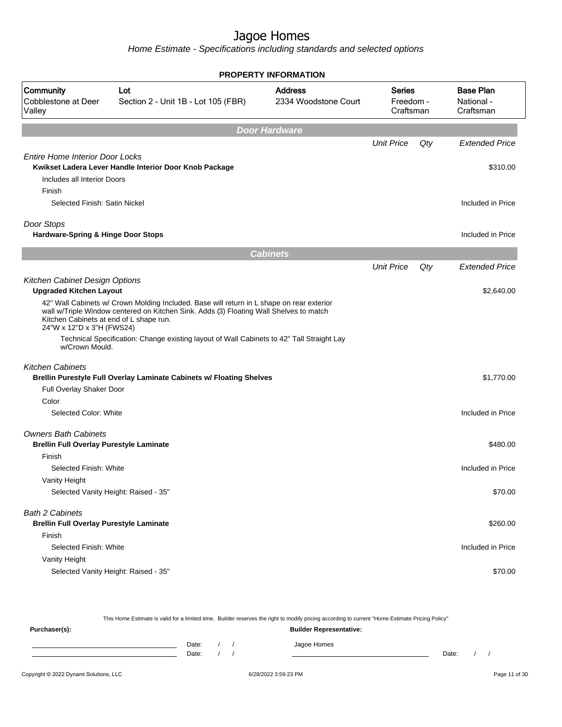Home Estimate - Specifications including standards and selected options

|                                                                               |                                                                                                                                                                                     | <b>PROPERTY INFORMATION</b>            |                                  |     |                                             |
|-------------------------------------------------------------------------------|-------------------------------------------------------------------------------------------------------------------------------------------------------------------------------------|----------------------------------------|----------------------------------|-----|---------------------------------------------|
| Community<br>Cobblestone at Deer<br>Valley                                    | Lot<br>Section 2 - Unit 1B - Lot 105 (FBR)                                                                                                                                          | <b>Address</b><br>2334 Woodstone Court | Series<br>Freedom -<br>Craftsman |     | <b>Base Plan</b><br>National -<br>Craftsman |
|                                                                               |                                                                                                                                                                                     | <b>Door Hardware</b>                   |                                  |     |                                             |
|                                                                               |                                                                                                                                                                                     |                                        | <b>Unit Price</b>                | Qty | <b>Extended Price</b>                       |
| <b>Entire Home Interior Door Locks</b><br>Includes all Interior Doors         | Kwikset Ladera Lever Handle Interior Door Knob Package                                                                                                                              |                                        |                                  |     | \$310.00                                    |
| Finish<br>Selected Finish: Satin Nickel                                       |                                                                                                                                                                                     |                                        |                                  |     | Included in Price                           |
|                                                                               |                                                                                                                                                                                     |                                        |                                  |     |                                             |
| Door Stops<br>Hardware-Spring & Hinge Door Stops                              |                                                                                                                                                                                     |                                        |                                  |     | Included in Price                           |
|                                                                               |                                                                                                                                                                                     | <b>Cabinets</b>                        |                                  |     |                                             |
|                                                                               |                                                                                                                                                                                     |                                        | <b>Unit Price</b>                | Qty | <b>Extended Price</b>                       |
| Kitchen Cabinet Design Options<br><b>Upgraded Kitchen Layout</b>              |                                                                                                                                                                                     |                                        |                                  |     | \$2,640.00                                  |
| Kitchen Cabinets at end of L shape run.<br>24"W x 12"D x 3"H (FWS24)          | 42" Wall Cabinets w/ Crown Molding Included. Base will return in L shape on rear exterior<br>wall w/Triple Window centered on Kitchen Sink. Adds (3) Floating Wall Shelves to match |                                        |                                  |     |                                             |
| w/Crown Mould.                                                                | Technical Specification: Change existing layout of Wall Cabinets to 42" Tall Straight Lay                                                                                           |                                        |                                  |     |                                             |
| <b>Kitchen Cabinets</b>                                                       | Brellin Purestyle Full Overlay Laminate Cabinets w/ Floating Shelves                                                                                                                |                                        |                                  |     | \$1,770.00                                  |
| Full Overlay Shaker Door                                                      |                                                                                                                                                                                     |                                        |                                  |     |                                             |
| Color                                                                         |                                                                                                                                                                                     |                                        |                                  |     |                                             |
| Selected Color: White                                                         |                                                                                                                                                                                     |                                        |                                  |     | Included in Price                           |
| <b>Owners Bath Cabinets</b><br><b>Brellin Full Overlay Purestyle Laminate</b> |                                                                                                                                                                                     |                                        |                                  |     | \$480.00                                    |
| Finish                                                                        |                                                                                                                                                                                     |                                        |                                  |     |                                             |
| Selected Finish: White                                                        |                                                                                                                                                                                     |                                        |                                  |     | Included in Price                           |
| Vanity Height<br>Selected Vanity Height: Raised - 35"                         |                                                                                                                                                                                     |                                        |                                  |     | \$70.00                                     |
| <b>Bath 2 Cabinets</b><br><b>Brellin Full Overlay Purestyle Laminate</b>      |                                                                                                                                                                                     |                                        |                                  |     | \$260.00                                    |
| Finish                                                                        |                                                                                                                                                                                     |                                        |                                  |     |                                             |
| Selected Finish: White<br>Vanity Height                                       |                                                                                                                                                                                     |                                        |                                  |     | Included in Price                           |
| Selected Vanity Height: Raised - 35"                                          |                                                                                                                                                                                     |                                        |                                  |     | \$70.00                                     |
|                                                                               |                                                                                                                                                                                     |                                        |                                  |     |                                             |

This Home Estimate is valid for a limited time. Builder reserves the right to modify pricing according to current "Home Estimate Pricing Policy" **Purchaser(s): Builder Representative:** Date: / / Jagoe Homes<br>Date: / / Jagoe Homes Date: / / **Date: / / 2006** Date: / / / Date: / / /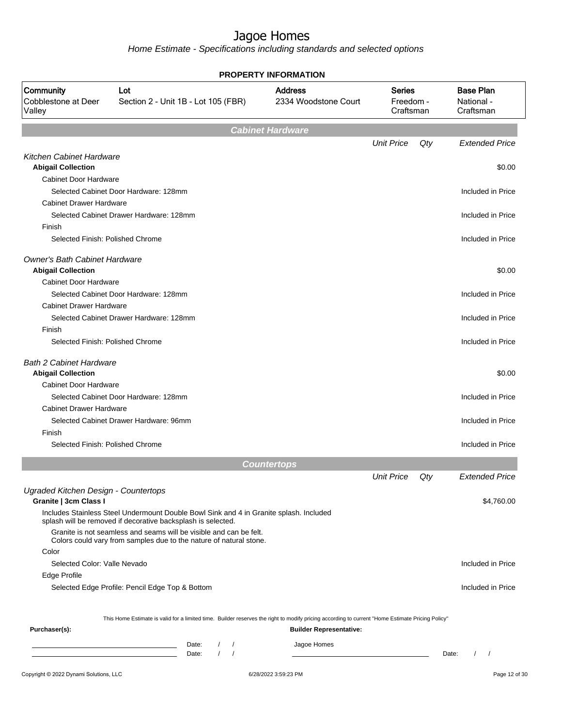|                                                                   | PROPERTY INFORMATION                                                                                                                                   |                                        |                                         |     |                                             |  |  |  |
|-------------------------------------------------------------------|--------------------------------------------------------------------------------------------------------------------------------------------------------|----------------------------------------|-----------------------------------------|-----|---------------------------------------------|--|--|--|
| Community<br>Cobblestone at Deer<br>Valley                        | Lot<br>Section 2 - Unit 1B - Lot 105 (FBR)                                                                                                             | <b>Address</b><br>2334 Woodstone Court | <b>Series</b><br>Freedom -<br>Craftsman |     | <b>Base Plan</b><br>National -<br>Craftsman |  |  |  |
|                                                                   |                                                                                                                                                        | <b>Cabinet Hardware</b>                |                                         |     |                                             |  |  |  |
|                                                                   |                                                                                                                                                        |                                        | <b>Unit Price</b>                       | Qty | <b>Extended Price</b>                       |  |  |  |
| Kitchen Cabinet Hardware                                          |                                                                                                                                                        |                                        |                                         |     |                                             |  |  |  |
| <b>Abigail Collection</b>                                         |                                                                                                                                                        |                                        |                                         |     | \$0.00                                      |  |  |  |
| <b>Cabinet Door Hardware</b>                                      |                                                                                                                                                        |                                        |                                         |     |                                             |  |  |  |
| <b>Cabinet Drawer Hardware</b>                                    | Selected Cabinet Door Hardware: 128mm                                                                                                                  |                                        |                                         |     | Included in Price                           |  |  |  |
|                                                                   | Selected Cabinet Drawer Hardware: 128mm                                                                                                                |                                        |                                         |     | Included in Price                           |  |  |  |
| Finish                                                            |                                                                                                                                                        |                                        |                                         |     |                                             |  |  |  |
| Selected Finish: Polished Chrome                                  |                                                                                                                                                        |                                        |                                         |     | Included in Price                           |  |  |  |
| <b>Owner's Bath Cabinet Hardware</b><br><b>Abigail Collection</b> |                                                                                                                                                        |                                        |                                         |     | \$0.00                                      |  |  |  |
| <b>Cabinet Door Hardware</b>                                      |                                                                                                                                                        |                                        |                                         |     |                                             |  |  |  |
|                                                                   | Selected Cabinet Door Hardware: 128mm                                                                                                                  |                                        |                                         |     | Included in Price                           |  |  |  |
| <b>Cabinet Drawer Hardware</b>                                    |                                                                                                                                                        |                                        |                                         |     |                                             |  |  |  |
|                                                                   | Selected Cabinet Drawer Hardware: 128mm                                                                                                                |                                        |                                         |     | Included in Price                           |  |  |  |
| Finish<br>Selected Finish: Polished Chrome                        |                                                                                                                                                        |                                        |                                         |     | Included in Price                           |  |  |  |
| <b>Bath 2 Cabinet Hardware</b><br><b>Abigail Collection</b>       |                                                                                                                                                        |                                        |                                         |     | \$0.00                                      |  |  |  |
| <b>Cabinet Door Hardware</b>                                      |                                                                                                                                                        |                                        |                                         |     |                                             |  |  |  |
|                                                                   | Selected Cabinet Door Hardware: 128mm                                                                                                                  |                                        |                                         |     | Included in Price                           |  |  |  |
| <b>Cabinet Drawer Hardware</b>                                    |                                                                                                                                                        |                                        |                                         |     |                                             |  |  |  |
|                                                                   | Selected Cabinet Drawer Hardware: 96mm                                                                                                                 |                                        |                                         |     | Included in Price                           |  |  |  |
| Finish                                                            |                                                                                                                                                        |                                        |                                         |     |                                             |  |  |  |
| Selected Finish: Polished Chrome                                  |                                                                                                                                                        |                                        |                                         |     | Included in Price                           |  |  |  |
|                                                                   |                                                                                                                                                        |                                        |                                         |     |                                             |  |  |  |
|                                                                   |                                                                                                                                                        | <b>Countertops</b>                     | <b>Unit Price</b>                       | Qty | <b>Extended Price</b>                       |  |  |  |
| Ugraded Kitchen Design - Countertops                              |                                                                                                                                                        |                                        |                                         |     | \$4,760.00                                  |  |  |  |
| Granite   3cm Class I                                             | Includes Stainless Steel Undermount Double Bowl Sink and 4 in Granite splash. Included<br>splash will be removed if decorative backsplash is selected. |                                        |                                         |     |                                             |  |  |  |
|                                                                   | Granite is not seamless and seams will be visible and can be felt.<br>Colors could vary from samples due to the nature of natural stone.               |                                        |                                         |     |                                             |  |  |  |
| Color                                                             |                                                                                                                                                        |                                        |                                         |     |                                             |  |  |  |
| Selected Color: Valle Nevado                                      |                                                                                                                                                        |                                        |                                         |     | Included in Price                           |  |  |  |
| Edge Profile                                                      |                                                                                                                                                        |                                        |                                         |     |                                             |  |  |  |
|                                                                   | Selected Edge Profile: Pencil Edge Top & Bottom                                                                                                        |                                        |                                         |     | Included in Price                           |  |  |  |
|                                                                   | This Home Estimate is valid for a limited time. Builder reserves the right to modify pricing according to current "Home Estimate Pricing Policy"       |                                        |                                         |     |                                             |  |  |  |
| Purchaser(s):                                                     |                                                                                                                                                        | <b>Builder Representative:</b>         |                                         |     |                                             |  |  |  |
|                                                                   | Date:<br>$\sqrt{ }$<br><u> 1989 - Johann Barn, amerikansk politiker (</u>                                                                              | Jagoe Homes                            |                                         |     |                                             |  |  |  |
|                                                                   | $\left  \right $<br>Date:<br><u> 1980 - Johann Barn, fransk politik (</u>                                                                              |                                        |                                         |     | Date:<br>$\frac{1}{2}$                      |  |  |  |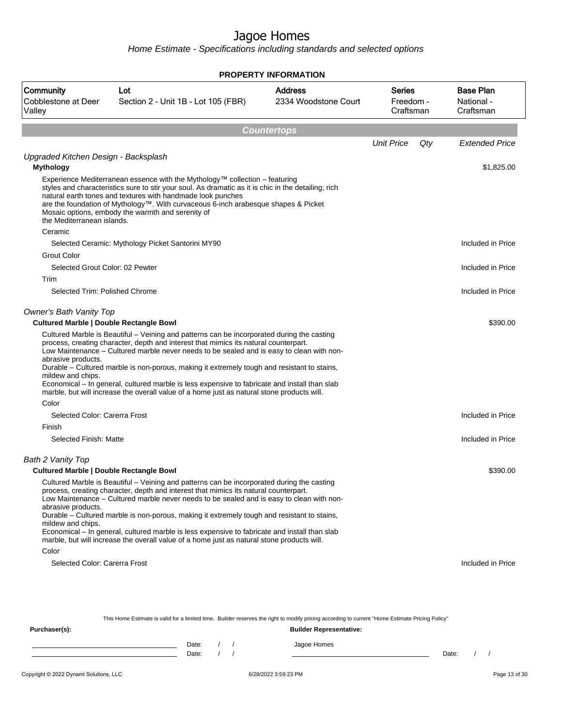Home Estimate - Specifications including standards and selected options

|                                                                                                                      |                                                                                                                                                                                                                                                                                                                                                                                                                                                                                                                                                                               | <b>PROPERTY INFORMATION</b>            |                                         |                                             |  |  |  |  |
|----------------------------------------------------------------------------------------------------------------------|-------------------------------------------------------------------------------------------------------------------------------------------------------------------------------------------------------------------------------------------------------------------------------------------------------------------------------------------------------------------------------------------------------------------------------------------------------------------------------------------------------------------------------------------------------------------------------|----------------------------------------|-----------------------------------------|---------------------------------------------|--|--|--|--|
| Community<br>Cobblestone at Deer<br>Vallev                                                                           | Lot<br>Section 2 - Unit 1B - Lot 105 (FBR)                                                                                                                                                                                                                                                                                                                                                                                                                                                                                                                                    | <b>Address</b><br>2334 Woodstone Court | <b>Series</b><br>Freedom -<br>Craftsman | <b>Base Plan</b><br>National -<br>Craftsman |  |  |  |  |
| <b>Countertops</b>                                                                                                   |                                                                                                                                                                                                                                                                                                                                                                                                                                                                                                                                                                               |                                        |                                         |                                             |  |  |  |  |
|                                                                                                                      |                                                                                                                                                                                                                                                                                                                                                                                                                                                                                                                                                                               |                                        | <b>Unit Price</b><br>Qty                | <b>Extended Price</b>                       |  |  |  |  |
| Upgraded Kitchen Design - Backsplash                                                                                 |                                                                                                                                                                                                                                                                                                                                                                                                                                                                                                                                                                               |                                        |                                         |                                             |  |  |  |  |
| <b>Mythology</b><br>the Mediterranean islands.                                                                       | Experience Mediterranean essence with the Mythology™ collection – featuring<br>styles and characteristics sure to stir your soul. As dramatic as it is chic in the detailing; rich<br>natural earth tones and textures with handmade look punches<br>are the foundation of Mythology™. With curvaceous 6-inch arabesque shapes & Picket<br>Mosaic options, embody the warmth and serenity of                                                                                                                                                                                  |                                        |                                         | \$1,825.00                                  |  |  |  |  |
| Ceramic                                                                                                              |                                                                                                                                                                                                                                                                                                                                                                                                                                                                                                                                                                               |                                        |                                         |                                             |  |  |  |  |
|                                                                                                                      | Selected Ceramic: Mythology Picket Santorini MY90                                                                                                                                                                                                                                                                                                                                                                                                                                                                                                                             |                                        |                                         | Included in Price                           |  |  |  |  |
| <b>Grout Color</b>                                                                                                   |                                                                                                                                                                                                                                                                                                                                                                                                                                                                                                                                                                               |                                        |                                         |                                             |  |  |  |  |
| Selected Grout Color: 02 Pewter<br>Trim                                                                              |                                                                                                                                                                                                                                                                                                                                                                                                                                                                                                                                                                               |                                        |                                         | Included in Price                           |  |  |  |  |
| Selected Trim: Polished Chrome                                                                                       |                                                                                                                                                                                                                                                                                                                                                                                                                                                                                                                                                                               |                                        |                                         | Included in Price                           |  |  |  |  |
| Owner's Bath Vanity Top<br><b>Cultured Marble   Double Rectangle Bowl</b><br>abrasive products.<br>mildew and chips. | Cultured Marble is Beautiful – Veining and patterns can be incorporated during the casting<br>process, creating character, depth and interest that mimics its natural counterpart.<br>Low Maintenance - Cultured marble never needs to be sealed and is easy to clean with non-<br>Durable - Cultured marble is non-porous, making it extremely tough and resistant to stains,                                                                                                                                                                                                |                                        |                                         | \$390.00                                    |  |  |  |  |
|                                                                                                                      | Economical – In general, cultured marble is less expensive to fabricate and install than slab<br>marble, but will increase the overall value of a home just as natural stone products will.                                                                                                                                                                                                                                                                                                                                                                                   |                                        |                                         |                                             |  |  |  |  |
| Color<br>Selected Color: Carerra Frost                                                                               |                                                                                                                                                                                                                                                                                                                                                                                                                                                                                                                                                                               |                                        |                                         | Included in Price                           |  |  |  |  |
| Finish                                                                                                               |                                                                                                                                                                                                                                                                                                                                                                                                                                                                                                                                                                               |                                        |                                         |                                             |  |  |  |  |
| Selected Finish: Matte                                                                                               |                                                                                                                                                                                                                                                                                                                                                                                                                                                                                                                                                                               |                                        |                                         | Included in Price                           |  |  |  |  |
| Bath 2 Vanity Top<br>Cultured Marble   Double Rectangle Bowl                                                         |                                                                                                                                                                                                                                                                                                                                                                                                                                                                                                                                                                               |                                        |                                         | \$390.00                                    |  |  |  |  |
| abrasive products.<br>mildew and chips.<br>Color                                                                     | Cultured Marble is Beautiful - Veining and patterns can be incorporated during the casting<br>process, creating character, depth and interest that mimics its natural counterpart.<br>Low Maintenance - Cultured marble never needs to be sealed and is easy to clean with non-<br>Durable – Cultured marble is non-porous, making it extremely tough and resistant to stains,<br>Economical – In general, cultured marble is less expensive to fabricate and install than slab<br>marble, but will increase the overall value of a home just as natural stone products will. |                                        |                                         |                                             |  |  |  |  |
| Selected Color: Carerra Frost                                                                                        |                                                                                                                                                                                                                                                                                                                                                                                                                                                                                                                                                                               |                                        |                                         | Included in Price                           |  |  |  |  |
|                                                                                                                      | This Home Estimate is valid for a limited time. Builder reserves the right to modify pricing according to current "Home Estimate Pricing Policy"                                                                                                                                                                                                                                                                                                                                                                                                                              |                                        |                                         |                                             |  |  |  |  |
| Purchaser(s):                                                                                                        |                                                                                                                                                                                                                                                                                                                                                                                                                                                                                                                                                                               | <b>Builder Representative:</b>         |                                         |                                             |  |  |  |  |

Date: / / Jagoe Homes<br>Date: / / Jagoe Homes Date: / / Date: / /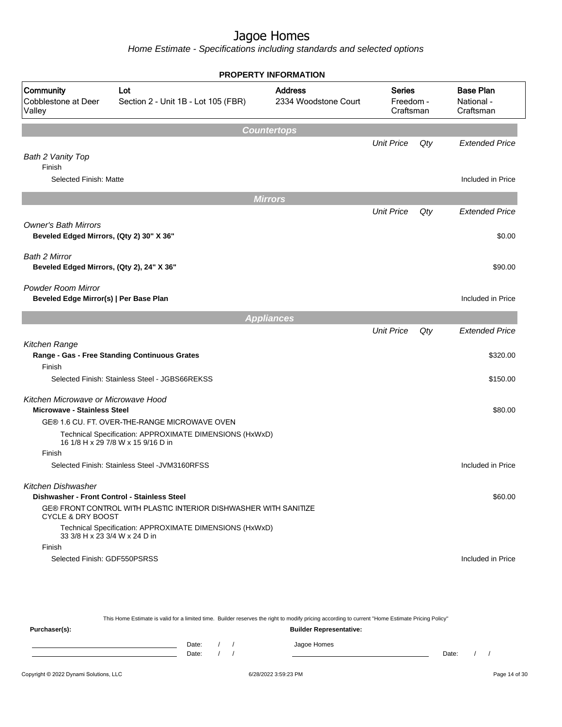Home Estimate - Specifications including standards and selected options

|                                                                           |                                                                                               | <b>PROPERTY INFORMATION</b>            |                                  |     |                                             |
|---------------------------------------------------------------------------|-----------------------------------------------------------------------------------------------|----------------------------------------|----------------------------------|-----|---------------------------------------------|
| Community<br>Cobblestone at Deer<br>Valley                                | Lot<br>Section 2 - Unit 1B - Lot 105 (FBR)                                                    | <b>Address</b><br>2334 Woodstone Court | Series<br>Freedom -<br>Craftsman |     | <b>Base Plan</b><br>National -<br>Craftsman |
|                                                                           |                                                                                               | <b>Countertops</b>                     |                                  |     |                                             |
|                                                                           |                                                                                               |                                        | <b>Unit Price</b>                | Qty | <b>Extended Price</b>                       |
| Bath 2 Vanity Top<br>Finish                                               |                                                                                               |                                        |                                  |     |                                             |
| Selected Finish: Matte                                                    |                                                                                               |                                        |                                  |     | Included in Price                           |
|                                                                           |                                                                                               | <b>Mirrors</b>                         |                                  |     |                                             |
|                                                                           |                                                                                               |                                        | <b>Unit Price</b>                | Qty | <b>Extended Price</b>                       |
| <b>Owner's Bath Mirrors</b><br>Beveled Edged Mirrors, (Qty 2) 30" X 36"   |                                                                                               |                                        |                                  |     | \$0.00                                      |
| Bath 2 Mirror<br>Beveled Edged Mirrors, (Qty 2), 24" X 36"                |                                                                                               |                                        |                                  |     | \$90.00                                     |
| <b>Powder Room Mirror</b><br>Beveled Edge Mirror(s)   Per Base Plan       |                                                                                               |                                        |                                  |     | Included in Price                           |
|                                                                           |                                                                                               | <b>Appliances</b>                      |                                  |     |                                             |
|                                                                           |                                                                                               |                                        | <b>Unit Price</b>                | Qty | <b>Extended Price</b>                       |
| Kitchen Range                                                             | Range - Gas - Free Standing Continuous Grates                                                 |                                        |                                  |     | \$320.00                                    |
| Finish                                                                    |                                                                                               |                                        |                                  |     |                                             |
|                                                                           | Selected Finish: Stainless Steel - JGBS66REKSS                                                |                                        |                                  |     | \$150.00                                    |
| Kitchen Microwave or Microwave Hood<br><b>Microwave - Stainless Steel</b> |                                                                                               |                                        |                                  |     | \$80.00                                     |
|                                                                           | GE® 1.6 CU. FT. OVER-THE-RANGE MICROWAVE OVEN                                                 |                                        |                                  |     |                                             |
|                                                                           | Technical Specification: APPROXIMATE DIMENSIONS (HxWxD)<br>16 1/8 H x 29 7/8 W x 15 9/16 D in |                                        |                                  |     |                                             |
| Finish                                                                    |                                                                                               |                                        |                                  |     |                                             |
|                                                                           | Selected Finish: Stainless Steel - JVM3160RFSS                                                |                                        |                                  |     | Included in Price                           |
| Kitchen Dishwasher                                                        |                                                                                               |                                        |                                  |     |                                             |
| Dishwasher - Front Control - Stainless Steel                              |                                                                                               |                                        |                                  |     | \$60.00                                     |
| <b>CYCLE &amp; DRY BOOST</b>                                              | GE® FRONT CONTROL WITH PLASTIC INTERIOR DISHWASHER WITH SANITIZE                              |                                        |                                  |     |                                             |
| 33 3/8 H x 23 3/4 W x 24 D in                                             | Technical Specification: APPROXIMATE DIMENSIONS (HxWxD)                                       |                                        |                                  |     |                                             |
| Finish                                                                    |                                                                                               |                                        |                                  |     |                                             |
| Selected Finish: GDF550PSRSS                                              |                                                                                               |                                        |                                  |     | Included in Price                           |

This Home Estimate is valid for a limited time. Builder reserves the right to modify pricing according to current "Home Estimate Pricing Policy" **Purchaser(s): Builder Representative:** Date: / / Jagoe Homes<br>Date: / / Jagoe Homes Date: / / Date: / /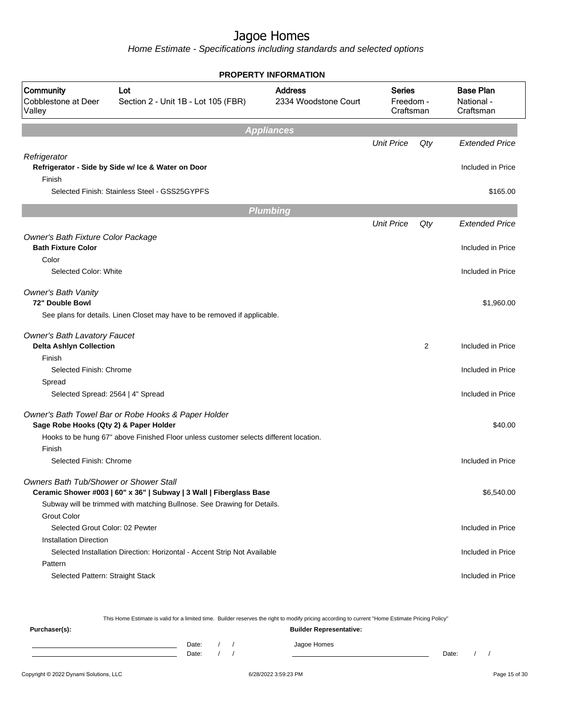Home Estimate - Specifications including standards and selected options

|                                               |                                                                                       | <b>PROPERTY INFORMATION</b>            |                                         |     |                                             |
|-----------------------------------------------|---------------------------------------------------------------------------------------|----------------------------------------|-----------------------------------------|-----|---------------------------------------------|
| Community<br>Cobblestone at Deer<br>Valley    | Lot<br>Section 2 - Unit 1B - Lot 105 (FBR)                                            | <b>Address</b><br>2334 Woodstone Court | <b>Series</b><br>Freedom -<br>Craftsman |     | <b>Base Plan</b><br>National -<br>Craftsman |
|                                               |                                                                                       | <b>Appliances</b>                      |                                         |     |                                             |
|                                               |                                                                                       |                                        | <b>Unit Price</b>                       | Qty | <b>Extended Price</b>                       |
| Refrigerator<br>Finish                        | Refrigerator - Side by Side w/ Ice & Water on Door                                    |                                        |                                         |     | Included in Price                           |
|                                               | Selected Finish: Stainless Steel - GSS25GYPFS                                         |                                        |                                         |     | \$165.00                                    |
|                                               |                                                                                       | <b>Plumbing</b>                        |                                         |     |                                             |
|                                               |                                                                                       |                                        | <b>Unit Price</b>                       | Qty | <b>Extended Price</b>                       |
| Owner's Bath Fixture Color Package            |                                                                                       |                                        |                                         |     |                                             |
| <b>Bath Fixture Color</b>                     |                                                                                       |                                        |                                         |     | Included in Price                           |
| Color                                         |                                                                                       |                                        |                                         |     |                                             |
| Selected Color: White                         |                                                                                       |                                        |                                         |     | Included in Price                           |
| <b>Owner's Bath Vanity</b><br>72" Double Bowl |                                                                                       |                                        |                                         |     | \$1,960.00                                  |
|                                               | See plans for details. Linen Closet may have to be removed if applicable.             |                                        |                                         |     |                                             |
| <b>Owner's Bath Lavatory Faucet</b>           |                                                                                       |                                        |                                         |     |                                             |
| <b>Delta Ashlyn Collection</b>                |                                                                                       |                                        |                                         | 2   | Included in Price                           |
| Finish<br>Selected Finish: Chrome             |                                                                                       |                                        |                                         |     | Included in Price                           |
| Spread                                        |                                                                                       |                                        |                                         |     |                                             |
| Selected Spread: 2564   4" Spread             |                                                                                       |                                        |                                         |     | Included in Price                           |
|                                               |                                                                                       |                                        |                                         |     |                                             |
| Sage Robe Hooks (Qty 2) & Paper Holder        | Owner's Bath Towel Bar or Robe Hooks & Paper Holder                                   |                                        |                                         |     | \$40.00                                     |
|                                               | Hooks to be hung 67" above Finished Floor unless customer selects different location. |                                        |                                         |     |                                             |
| Finish                                        |                                                                                       |                                        |                                         |     |                                             |
| Selected Finish: Chrome                       |                                                                                       |                                        |                                         |     | Included in Price                           |
| Owners Bath Tub/Shower or Shower Stall        |                                                                                       |                                        |                                         |     |                                             |
|                                               | Ceramic Shower #003   60" x 36"   Subway   3 Wall   Fiberglass Base                   |                                        |                                         |     | \$6,540.00                                  |
|                                               | Subway will be trimmed with matching Bullnose. See Drawing for Details.               |                                        |                                         |     |                                             |
| Grout Color                                   |                                                                                       |                                        |                                         |     |                                             |
| Selected Grout Color: 02 Pewter               |                                                                                       |                                        |                                         |     | Included in Price                           |
| <b>Installation Direction</b>                 |                                                                                       |                                        |                                         |     |                                             |
| Pattern                                       | Selected Installation Direction: Horizontal - Accent Strip Not Available              |                                        |                                         |     | Included in Price                           |
| Selected Pattern: Straight Stack              |                                                                                       |                                        |                                         |     | Included in Price                           |
|                                               |                                                                                       |                                        |                                         |     |                                             |

This Home Estimate is valid for a limited time. Builder reserves the right to modify pricing according to current "Home Estimate Pricing Policy"

**Purchaser(s): Builder Representative:** Date: / / Jagoe Homes<br>Date: / / Jagoe Homes Date: / / Date: / /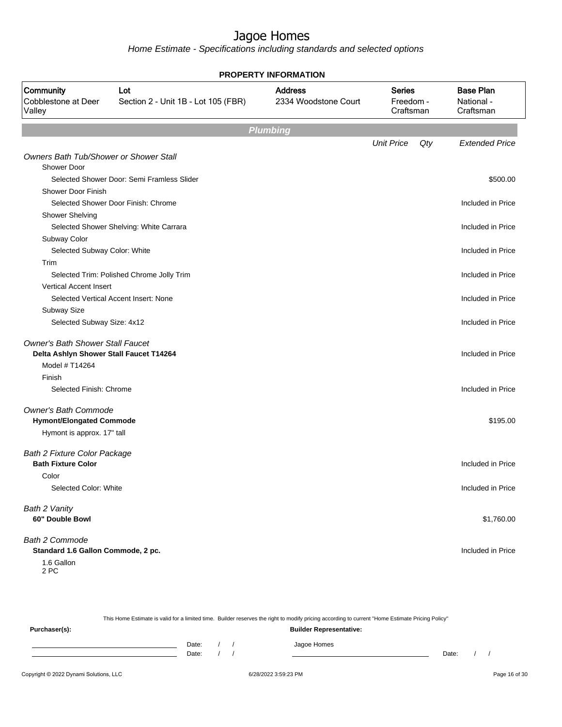| <b>PROPERTY INFORMATION</b>                                  |                                            |                                        |                                         |     |                                             |  |  |
|--------------------------------------------------------------|--------------------------------------------|----------------------------------------|-----------------------------------------|-----|---------------------------------------------|--|--|
| Community<br>Cobblestone at Deer<br>Valley                   | Lot<br>Section 2 - Unit 1B - Lot 105 (FBR) | <b>Address</b><br>2334 Woodstone Court | <b>Series</b><br>Freedom -<br>Craftsman |     | <b>Base Plan</b><br>National -<br>Craftsman |  |  |
|                                                              |                                            | <b>Plumbing</b>                        |                                         |     |                                             |  |  |
|                                                              |                                            |                                        | <b>Unit Price</b>                       | Qty | <b>Extended Price</b>                       |  |  |
| Owners Bath Tub/Shower or Shower Stall<br><b>Shower Door</b> |                                            |                                        |                                         |     |                                             |  |  |
|                                                              | Selected Shower Door: Semi Framless Slider |                                        |                                         |     | \$500.00                                    |  |  |
| <b>Shower Door Finish</b>                                    |                                            |                                        |                                         |     |                                             |  |  |
|                                                              | Selected Shower Door Finish: Chrome        |                                        |                                         |     | Included in Price                           |  |  |
| <b>Shower Shelving</b>                                       |                                            |                                        |                                         |     |                                             |  |  |
|                                                              | Selected Shower Shelving: White Carrara    |                                        |                                         |     | Included in Price                           |  |  |
| Subway Color                                                 |                                            |                                        |                                         |     |                                             |  |  |
| Selected Subway Color: White                                 |                                            |                                        |                                         |     | Included in Price                           |  |  |
| Trim                                                         |                                            |                                        |                                         |     |                                             |  |  |
|                                                              | Selected Trim: Polished Chrome Jolly Trim  |                                        |                                         |     | Included in Price                           |  |  |
| <b>Vertical Accent Insert</b>                                |                                            |                                        |                                         |     |                                             |  |  |
|                                                              | Selected Vertical Accent Insert: None      |                                        |                                         |     | Included in Price                           |  |  |
| Subway Size                                                  |                                            |                                        |                                         |     |                                             |  |  |
| Selected Subway Size: 4x12                                   |                                            |                                        |                                         |     | Included in Price                           |  |  |
| <b>Owner's Bath Shower Stall Faucet</b>                      |                                            |                                        |                                         |     |                                             |  |  |
| Delta Ashlyn Shower Stall Faucet T14264                      |                                            |                                        |                                         |     | Included in Price                           |  |  |
| Model # T14264                                               |                                            |                                        |                                         |     |                                             |  |  |
| Finish                                                       |                                            |                                        |                                         |     |                                             |  |  |
| Selected Finish: Chrome                                      |                                            |                                        |                                         |     | Included in Price                           |  |  |
| <b>Owner's Bath Commode</b>                                  |                                            |                                        |                                         |     |                                             |  |  |
| <b>Hymont/Elongated Commode</b>                              |                                            |                                        |                                         |     | \$195.00                                    |  |  |
| Hymont is approx. 17" tall                                   |                                            |                                        |                                         |     |                                             |  |  |
| Bath 2 Fixture Color Package                                 |                                            |                                        |                                         |     |                                             |  |  |
| <b>Bath Fixture Color</b>                                    |                                            |                                        |                                         |     | Included in Price                           |  |  |
| Color                                                        |                                            |                                        |                                         |     |                                             |  |  |
| Selected Color: White                                        |                                            |                                        |                                         |     | Included in Price                           |  |  |
| Bath 2 Vanity                                                |                                            |                                        |                                         |     |                                             |  |  |
| 60" Double Bowl                                              |                                            |                                        |                                         |     | \$1,760.00                                  |  |  |
| Bath 2 Commode                                               |                                            |                                        |                                         |     |                                             |  |  |
| Standard 1.6 Gallon Commode, 2 pc.                           |                                            |                                        |                                         |     | Included in Price                           |  |  |
| 1.6 Gallon<br>2 PC                                           |                                            |                                        |                                         |     |                                             |  |  |

|               |       |  | This Home Estimate is valid for a limited time. Builder reserves the right to modify pricing according to current "Home Estimate Pricing Policy" |       |  |  |  |  |  |  |
|---------------|-------|--|--------------------------------------------------------------------------------------------------------------------------------------------------|-------|--|--|--|--|--|--|
| Purchaser(s): |       |  | <b>Builder Representative:</b>                                                                                                                   |       |  |  |  |  |  |  |
|               | Date: |  | Jagoe Homes                                                                                                                                      |       |  |  |  |  |  |  |
|               | Date: |  |                                                                                                                                                  | Date: |  |  |  |  |  |  |
|               |       |  |                                                                                                                                                  |       |  |  |  |  |  |  |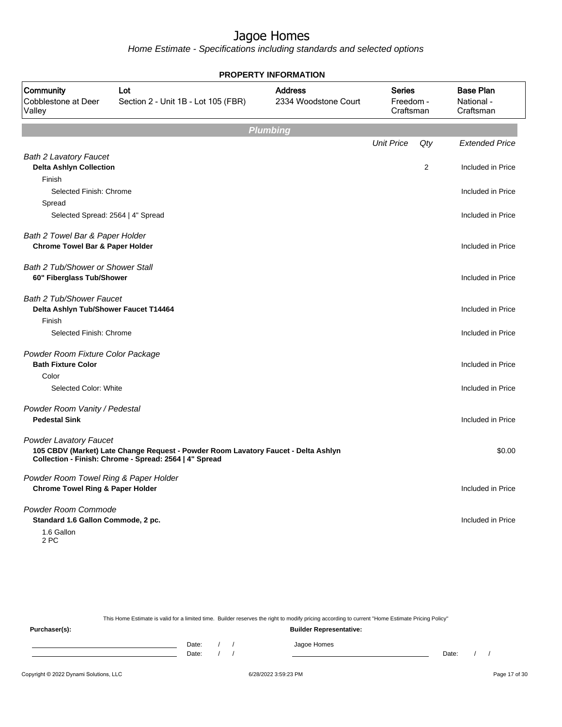| <b>PROPERTY INFORMATION</b>                                                          |                                                                                                                                              |                                        |                                         |     |                                             |  |  |  |
|--------------------------------------------------------------------------------------|----------------------------------------------------------------------------------------------------------------------------------------------|----------------------------------------|-----------------------------------------|-----|---------------------------------------------|--|--|--|
| Community<br>Cobblestone at Deer<br>Valley                                           | Lot<br>Section 2 - Unit 1B - Lot 105 (FBR)                                                                                                   | <b>Address</b><br>2334 Woodstone Court | <b>Series</b><br>Freedom -<br>Craftsman |     | <b>Base Plan</b><br>National -<br>Craftsman |  |  |  |
|                                                                                      |                                                                                                                                              | <b>Plumbing</b>                        |                                         |     |                                             |  |  |  |
|                                                                                      |                                                                                                                                              |                                        | <b>Unit Price</b>                       | Qty | <b>Extended Price</b>                       |  |  |  |
| <b>Bath 2 Lavatory Faucet</b><br><b>Delta Ashlyn Collection</b>                      |                                                                                                                                              |                                        |                                         | 2   | Included in Price                           |  |  |  |
| Finish                                                                               |                                                                                                                                              |                                        |                                         |     |                                             |  |  |  |
| Selected Finish: Chrome                                                              |                                                                                                                                              |                                        |                                         |     | Included in Price                           |  |  |  |
| Spread                                                                               |                                                                                                                                              |                                        |                                         |     |                                             |  |  |  |
| Selected Spread: 2564   4" Spread                                                    |                                                                                                                                              |                                        |                                         |     | Included in Price                           |  |  |  |
| Bath 2 Towel Bar & Paper Holder<br><b>Chrome Towel Bar &amp; Paper Holder</b>        |                                                                                                                                              |                                        |                                         |     | Included in Price                           |  |  |  |
| Bath 2 Tub/Shower or Shower Stall<br>60" Fiberglass Tub/Shower                       |                                                                                                                                              |                                        |                                         |     | Included in Price                           |  |  |  |
| <b>Bath 2 Tub/Shower Faucet</b><br>Delta Ashlyn Tub/Shower Faucet T14464             |                                                                                                                                              |                                        |                                         |     | Included in Price                           |  |  |  |
| Finish                                                                               |                                                                                                                                              |                                        |                                         |     |                                             |  |  |  |
| Selected Finish: Chrome                                                              |                                                                                                                                              |                                        |                                         |     | Included in Price                           |  |  |  |
| Powder Room Fixture Color Package<br><b>Bath Fixture Color</b>                       |                                                                                                                                              |                                        |                                         |     | Included in Price                           |  |  |  |
| Color                                                                                |                                                                                                                                              |                                        |                                         |     |                                             |  |  |  |
| Selected Color: White                                                                |                                                                                                                                              |                                        |                                         |     | Included in Price                           |  |  |  |
| Powder Room Vanity / Pedestal<br><b>Pedestal Sink</b>                                |                                                                                                                                              |                                        |                                         |     | Included in Price                           |  |  |  |
| <b>Powder Lavatory Faucet</b>                                                        | 105 CBDV (Market) Late Change Request - Powder Room Lavatory Faucet - Delta Ashlyn<br>Collection - Finish: Chrome - Spread: 2564   4" Spread |                                        |                                         |     | \$0.00                                      |  |  |  |
| Powder Room Towel Ring & Paper Holder<br><b>Chrome Towel Ring &amp; Paper Holder</b> |                                                                                                                                              |                                        |                                         |     | Included in Price                           |  |  |  |
| Powder Room Commode<br>Standard 1.6 Gallon Commode, 2 pc.<br>1.6 Gallon<br>2 PC      |                                                                                                                                              |                                        |                                         |     | Included in Price                           |  |  |  |
|                                                                                      |                                                                                                                                              |                                        |                                         |     |                                             |  |  |  |

|               |       |  | This Home Estimate is valid for a limited time. Builder reserves the right to modify pricing according to current "Home Estimate Pricing Policy" |       |  |  |  |  |  |
|---------------|-------|--|--------------------------------------------------------------------------------------------------------------------------------------------------|-------|--|--|--|--|--|
| Purchaser(s): |       |  | <b>Builder Representative:</b>                                                                                                                   |       |  |  |  |  |  |
|               | Date: |  | Jagoe Homes                                                                                                                                      |       |  |  |  |  |  |
|               | Date: |  |                                                                                                                                                  | Date: |  |  |  |  |  |
|               |       |  |                                                                                                                                                  |       |  |  |  |  |  |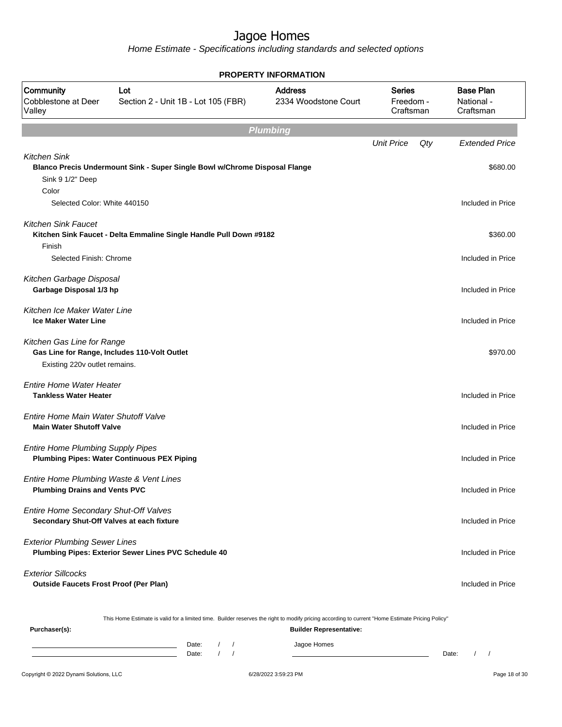| <b>PROPERTY INFORMATION</b>                                                        |                                                                                                                                                  |                                |                   |     |                               |  |  |  |  |  |  |
|------------------------------------------------------------------------------------|--------------------------------------------------------------------------------------------------------------------------------------------------|--------------------------------|-------------------|-----|-------------------------------|--|--|--|--|--|--|
| Community<br>Cobblestone at Deer<br>Valley                                         | <b>Address</b><br><b>Series</b><br>Lot<br>Section 2 - Unit 1B - Lot 105 (FBR)<br>2334 Woodstone Court<br>Freedom -<br>Craftsman                  |                                |                   |     |                               |  |  |  |  |  |  |
|                                                                                    | <b>Plumbing</b>                                                                                                                                  |                                |                   |     |                               |  |  |  |  |  |  |
|                                                                                    |                                                                                                                                                  |                                | <b>Unit Price</b> | Qty | <b>Extended Price</b>         |  |  |  |  |  |  |
| <b>Kitchen Sink</b><br>Sink 9 1/2" Deep<br>Color                                   | Blanco Precis Undermount Sink - Super Single Bowl w/Chrome Disposal Flange                                                                       |                                |                   |     | \$680.00                      |  |  |  |  |  |  |
| Selected Color: White 440150                                                       |                                                                                                                                                  |                                |                   |     | Included in Price             |  |  |  |  |  |  |
| <b>Kitchen Sink Faucet</b><br>Finish<br>Selected Finish: Chrome                    | Kitchen Sink Faucet - Delta Emmaline Single Handle Pull Down #9182                                                                               |                                |                   |     | \$360.00<br>Included in Price |  |  |  |  |  |  |
| Kitchen Garbage Disposal<br>Garbage Disposal 1/3 hp                                |                                                                                                                                                  |                                |                   |     | Included in Price             |  |  |  |  |  |  |
| Kitchen Ice Maker Water Line<br><b>Ice Maker Water Line</b>                        |                                                                                                                                                  |                                |                   |     | Included in Price             |  |  |  |  |  |  |
| Kitchen Gas Line for Range<br>Existing 220v outlet remains.                        | Gas Line for Range, Includes 110-Volt Outlet                                                                                                     |                                |                   |     | \$970.00                      |  |  |  |  |  |  |
| <b>Entire Home Water Heater</b><br><b>Tankless Water Heater</b>                    |                                                                                                                                                  |                                |                   |     | Included in Price             |  |  |  |  |  |  |
| Entire Home Main Water Shutoff Valve<br><b>Main Water Shutoff Valve</b>            |                                                                                                                                                  |                                |                   |     | Included in Price             |  |  |  |  |  |  |
| <b>Entire Home Plumbing Supply Pipes</b>                                           | <b>Plumbing Pipes: Water Continuous PEX Piping</b>                                                                                               |                                |                   |     | Included in Price             |  |  |  |  |  |  |
| Entire Home Plumbing Waste & Vent Lines<br><b>Plumbing Drains and Vents PVC</b>    |                                                                                                                                                  |                                |                   |     | Included in Price             |  |  |  |  |  |  |
| Entire Home Secondary Shut-Off Valves<br>Secondary Shut-Off Valves at each fixture |                                                                                                                                                  |                                |                   |     | Included in Price             |  |  |  |  |  |  |
| <b>Exterior Plumbing Sewer Lines</b>                                               | Plumbing Pipes: Exterior Sewer Lines PVC Schedule 40                                                                                             |                                |                   |     | Included in Price             |  |  |  |  |  |  |
| <b>Exterior Sillcocks</b><br><b>Outside Faucets Frost Proof (Per Plan)</b>         |                                                                                                                                                  |                                |                   |     | Included in Price             |  |  |  |  |  |  |
| Purchaser(s):                                                                      | This Home Estimate is valid for a limited time. Builder reserves the right to modify pricing according to current "Home Estimate Pricing Policy" | <b>Builder Representative:</b> |                   |     |                               |  |  |  |  |  |  |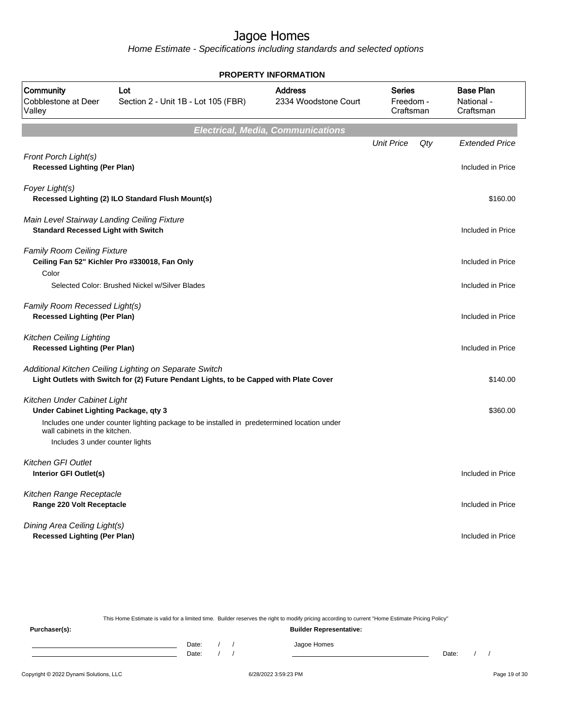Home Estimate - Specifications including standards and selected options

| <b>PROPERTY INFORMATION</b>                                                               |                                                                                                                                                  |                                        |                                         |     |                                             |  |  |  |  |
|-------------------------------------------------------------------------------------------|--------------------------------------------------------------------------------------------------------------------------------------------------|----------------------------------------|-----------------------------------------|-----|---------------------------------------------|--|--|--|--|
| Community<br>Cobblestone at Deer<br>Valley                                                | Lot<br>Section 2 - Unit 1B - Lot 105 (FBR)                                                                                                       | <b>Address</b><br>2334 Woodstone Court | <b>Series</b><br>Freedom -<br>Craftsman |     | <b>Base Plan</b><br>National -<br>Craftsman |  |  |  |  |
| <b>Electrical, Media, Communications</b>                                                  |                                                                                                                                                  |                                        |                                         |     |                                             |  |  |  |  |
| Front Porch Light(s)<br><b>Recessed Lighting (Per Plan)</b>                               |                                                                                                                                                  |                                        | <b>Unit Price</b>                       | Qty | <b>Extended Price</b><br>Included in Price  |  |  |  |  |
| Foyer Light(s)                                                                            | Recessed Lighting (2) ILO Standard Flush Mount(s)                                                                                                |                                        |                                         |     | \$160.00                                    |  |  |  |  |
| Main Level Stairway Landing Ceiling Fixture<br><b>Standard Recessed Light with Switch</b> |                                                                                                                                                  |                                        |                                         |     | Included in Price                           |  |  |  |  |
| <b>Family Room Ceiling Fixture</b><br>Color                                               | Ceiling Fan 52" Kichler Pro #330018, Fan Only                                                                                                    |                                        |                                         |     | Included in Price                           |  |  |  |  |
| Selected Color: Brushed Nickel w/Silver Blades                                            | Included in Price                                                                                                                                |                                        |                                         |     |                                             |  |  |  |  |
| Family Room Recessed Light(s)<br><b>Recessed Lighting (Per Plan)</b>                      |                                                                                                                                                  |                                        |                                         |     | Included in Price                           |  |  |  |  |
| Kitchen Ceiling Lighting<br><b>Recessed Lighting (Per Plan)</b>                           |                                                                                                                                                  |                                        |                                         |     | Included in Price                           |  |  |  |  |
|                                                                                           | Additional Kitchen Ceiling Lighting on Separate Switch<br>Light Outlets with Switch for (2) Future Pendant Lights, to be Capped with Plate Cover |                                        |                                         |     | \$140.00                                    |  |  |  |  |
| Kitchen Under Cabinet Light<br>Under Cabinet Lighting Package, qty 3                      |                                                                                                                                                  |                                        |                                         |     | \$360.00                                    |  |  |  |  |
| wall cabinets in the kitchen.<br>Includes 3 under counter lights                          | Includes one under counter lighting package to be installed in predetermined location under                                                      |                                        |                                         |     |                                             |  |  |  |  |
| Kitchen GFI Outlet                                                                        |                                                                                                                                                  |                                        |                                         |     |                                             |  |  |  |  |
| Interior GFI Outlet(s)                                                                    |                                                                                                                                                  |                                        |                                         |     | Included in Price                           |  |  |  |  |
| Kitchen Range Receptacle<br>Range 220 Volt Receptacle                                     |                                                                                                                                                  |                                        |                                         |     | Included in Price                           |  |  |  |  |
| Dining Area Ceiling Light(s)<br><b>Recessed Lighting (Per Plan)</b>                       |                                                                                                                                                  |                                        |                                         |     | Included in Price                           |  |  |  |  |

This Home Estimate is valid for a limited time. Builder reserves the right to modify pricing according to current "Home Estimate Pricing Policy"

**Purchaser(s): Builder Representative:** Date: / / Jagoe Homes<br>Date: / / Jagoe Homes Date: / / **Date: / / 2006** Date: / / / Date: / / /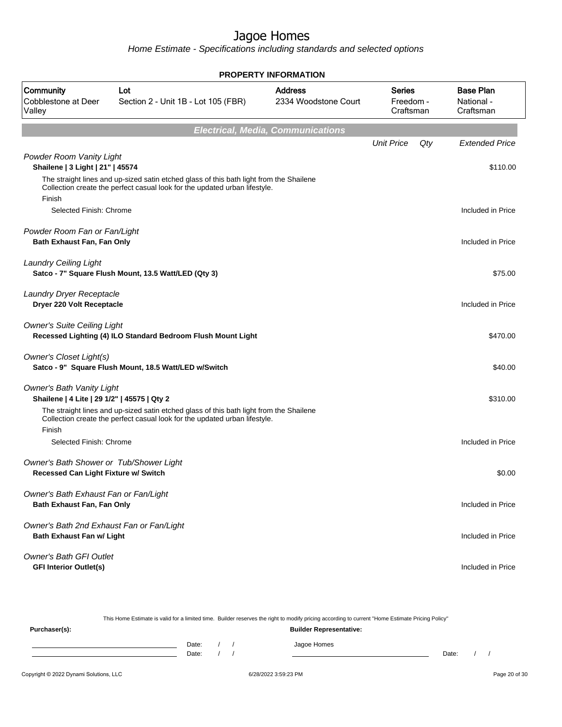Home Estimate - Specifications including standards and selected options

|                                                                                 | <b>PROPERTY INFORMATION</b>                                                                                                                                           |                                        |                                         |                                             |  |  |  |  |  |
|---------------------------------------------------------------------------------|-----------------------------------------------------------------------------------------------------------------------------------------------------------------------|----------------------------------------|-----------------------------------------|---------------------------------------------|--|--|--|--|--|
| Community<br><b>Cobblestone at Deer</b><br>Valley                               | Lot<br>Section 2 - Unit 1B - Lot 105 (FBR)                                                                                                                            | <b>Address</b><br>2334 Woodstone Court | <b>Series</b><br>Freedom -<br>Craftsman | <b>Base Plan</b><br>National -<br>Craftsman |  |  |  |  |  |
| <b>Electrical, Media, Communications</b>                                        |                                                                                                                                                                       |                                        |                                         |                                             |  |  |  |  |  |
|                                                                                 |                                                                                                                                                                       |                                        | <b>Unit Price</b>                       | Qty<br><b>Extended Price</b>                |  |  |  |  |  |
| Powder Room Vanity Light<br>Shailene   3 Light   21"   45574                    |                                                                                                                                                                       |                                        |                                         | \$110.00                                    |  |  |  |  |  |
| Finish                                                                          | The straight lines and up-sized satin etched glass of this bath light from the Shailene<br>Collection create the perfect casual look for the updated urban lifestyle. |                                        |                                         |                                             |  |  |  |  |  |
| Selected Finish: Chrome                                                         |                                                                                                                                                                       |                                        |                                         | Included in Price                           |  |  |  |  |  |
| Powder Room Fan or Fan/Light<br>Bath Exhaust Fan, Fan Only                      |                                                                                                                                                                       |                                        |                                         | Included in Price                           |  |  |  |  |  |
| <b>Laundry Ceiling Light</b>                                                    | Satco - 7" Square Flush Mount, 13.5 Watt/LED (Qty 3)                                                                                                                  |                                        |                                         | \$75.00                                     |  |  |  |  |  |
| Laundry Dryer Receptacle<br>Dryer 220 Volt Receptacle                           |                                                                                                                                                                       |                                        |                                         | Included in Price                           |  |  |  |  |  |
| <b>Owner's Suite Ceiling Light</b>                                              | Recessed Lighting (4) ILO Standard Bedroom Flush Mount Light                                                                                                          |                                        |                                         | \$470.00                                    |  |  |  |  |  |
| Owner's Closet Light(s)                                                         | Satco - 9" Square Flush Mount, 18.5 Watt/LED w/Switch                                                                                                                 |                                        |                                         | \$40.00                                     |  |  |  |  |  |
| <b>Owner's Bath Vanity Light</b><br>Shailene   4 Lite   29 1/2"   45575   Qty 2 | The straight lines and up-sized satin etched glass of this bath light from the Shailene<br>Collection create the perfect casual look for the updated urban lifestyle. |                                        |                                         | \$310.00                                    |  |  |  |  |  |
| Finish<br>Selected Finish: Chrome                                               |                                                                                                                                                                       |                                        |                                         | Included in Price                           |  |  |  |  |  |
| Owner's Bath Shower or Tub/Shower Light<br>Recessed Can Light Fixture w/ Switch |                                                                                                                                                                       |                                        |                                         | \$0.00                                      |  |  |  |  |  |
| Owner's Bath Exhaust Fan or Fan/Light<br>Bath Exhaust Fan, Fan Only             |                                                                                                                                                                       |                                        |                                         | Included in Price                           |  |  |  |  |  |
| Owner's Bath 2nd Exhaust Fan or Fan/Light<br><b>Bath Exhaust Fan w/ Light</b>   |                                                                                                                                                                       |                                        |                                         | Included in Price                           |  |  |  |  |  |
| <b>Owner's Bath GFI Outlet</b><br><b>GFI Interior Outlet(s)</b>                 |                                                                                                                                                                       |                                        |                                         | Included in Price                           |  |  |  |  |  |

This Home Estimate is valid for a limited time. Builder reserves the right to modify pricing according to current "Home Estimate Pricing Policy" **Purchaser(s): Builder Representative:** Date: / / Jagoe Homes<br>Date: / / Jagoe Homes Date: / / **Date: / / 2006** Date: / / / Date: / / /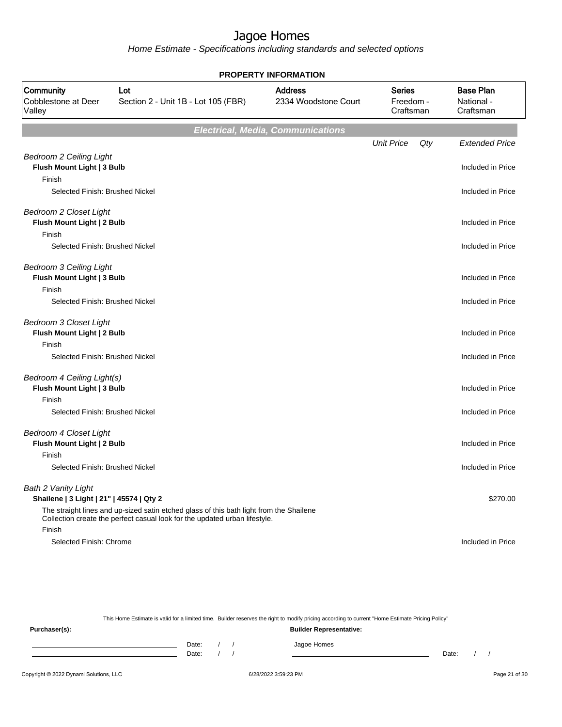Home Estimate - Specifications including standards and selected options

| <b>PROPERTY INFORMATION</b>                                            |                                                                                         |                                                                                   |                   |     |                                             |  |  |  |  |  |  |
|------------------------------------------------------------------------|-----------------------------------------------------------------------------------------|-----------------------------------------------------------------------------------|-------------------|-----|---------------------------------------------|--|--|--|--|--|--|
| Community<br>Cobblestone at Deer<br>Valley                             | Lot<br>Section 2 - Unit 1B - Lot 105 (FBR)                                              | <b>Address</b><br><b>Series</b><br>2334 Woodstone Court<br>Freedom -<br>Craftsman |                   |     | <b>Base Plan</b><br>National -<br>Craftsman |  |  |  |  |  |  |
|                                                                        | <b>Electrical, Media, Communications</b>                                                |                                                                                   |                   |     |                                             |  |  |  |  |  |  |
|                                                                        |                                                                                         |                                                                                   | <b>Unit Price</b> | Qty | <b>Extended Price</b>                       |  |  |  |  |  |  |
| <b>Bedroom 2 Ceiling Light</b><br>Flush Mount Light   3 Bulb           |                                                                                         |                                                                                   |                   |     | Included in Price                           |  |  |  |  |  |  |
| Finish<br>Selected Finish: Brushed Nickel                              |                                                                                         |                                                                                   |                   |     | Included in Price                           |  |  |  |  |  |  |
| Bedroom 2 Closet Light<br>Flush Mount Light   2 Bulb<br>Finish         |                                                                                         |                                                                                   |                   |     | Included in Price                           |  |  |  |  |  |  |
| Selected Finish: Brushed Nickel                                        |                                                                                         |                                                                                   |                   |     | Included in Price                           |  |  |  |  |  |  |
| <b>Bedroom 3 Ceiling Light</b><br>Flush Mount Light   3 Bulb<br>Finish |                                                                                         |                                                                                   |                   |     | Included in Price                           |  |  |  |  |  |  |
| Selected Finish: Brushed Nickel                                        |                                                                                         |                                                                                   |                   |     | Included in Price                           |  |  |  |  |  |  |
| <b>Bedroom 3 Closet Light</b><br>Flush Mount Light   2 Bulb            |                                                                                         |                                                                                   |                   |     | Included in Price                           |  |  |  |  |  |  |
| Finish<br>Selected Finish: Brushed Nickel                              |                                                                                         |                                                                                   |                   |     | Included in Price                           |  |  |  |  |  |  |
| Bedroom 4 Ceiling Light(s)<br>Flush Mount Light   3 Bulb<br>Finish     |                                                                                         |                                                                                   |                   |     | Included in Price                           |  |  |  |  |  |  |
| Selected Finish: Brushed Nickel                                        |                                                                                         |                                                                                   |                   |     | Included in Price                           |  |  |  |  |  |  |
| Bedroom 4 Closet Light<br>Flush Mount Light   2 Bulb                   |                                                                                         |                                                                                   |                   |     | Included in Price                           |  |  |  |  |  |  |
| Finish                                                                 |                                                                                         |                                                                                   |                   |     |                                             |  |  |  |  |  |  |
| Selected Finish: Brushed Nickel                                        |                                                                                         |                                                                                   |                   |     | Included in Price                           |  |  |  |  |  |  |
| Bath 2 Vanity Light<br>Shailene   3 Light   21"   45574   Qty 2        | The straight lines and up-sized satin etched glass of this bath light from the Shailene |                                                                                   |                   |     | \$270.00                                    |  |  |  |  |  |  |
| Finish                                                                 | Collection create the perfect casual look for the updated urban lifestyle.              |                                                                                   |                   |     |                                             |  |  |  |  |  |  |
| Selected Finish: Chrome                                                |                                                                                         |                                                                                   |                   |     | Included in Price                           |  |  |  |  |  |  |

This Home Estimate is valid for a limited time. Builder reserves the right to modify pricing according to current "Home Estimate Pricing Policy"

**Purchaser(s): Builder Representative:** Date: / / Jagoe Homes<br>Date: / / Jagoe Homes Date: / / Date: / /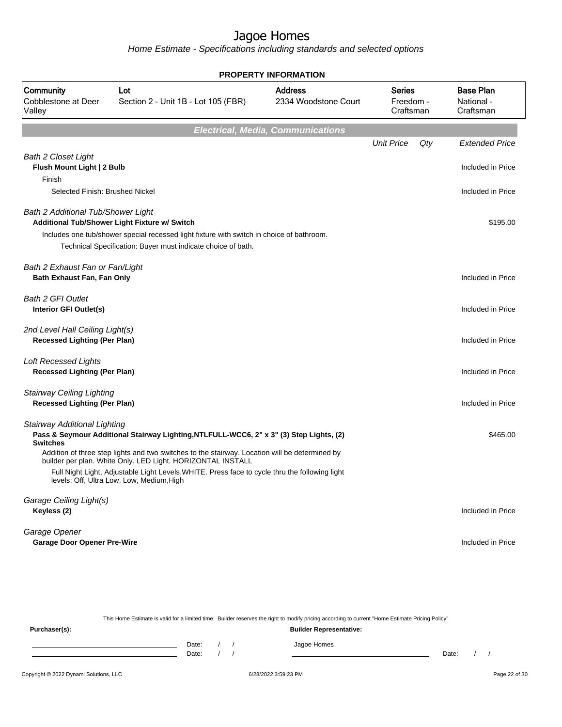Home Estimate - Specifications including standards and selected options

|                                                                         | <b>PROPERTY INFORMATION</b>                                                                                                                                                                                                                                     |                                        |                                         |     |                                             |  |  |  |  |  |  |
|-------------------------------------------------------------------------|-----------------------------------------------------------------------------------------------------------------------------------------------------------------------------------------------------------------------------------------------------------------|----------------------------------------|-----------------------------------------|-----|---------------------------------------------|--|--|--|--|--|--|
| Community<br>Cobblestone at Deer<br>Valley                              | Lot<br>Section 2 - Unit 1B - Lot 105 (FBR)                                                                                                                                                                                                                      | <b>Address</b><br>2334 Woodstone Court | <b>Series</b><br>Freedom -<br>Craftsman |     | <b>Base Plan</b><br>National -<br>Craftsman |  |  |  |  |  |  |
|                                                                         | <b>Electrical, Media, Communications</b>                                                                                                                                                                                                                        |                                        |                                         |     |                                             |  |  |  |  |  |  |
|                                                                         |                                                                                                                                                                                                                                                                 |                                        | <b>Unit Price</b>                       | Qty | <b>Extended Price</b>                       |  |  |  |  |  |  |
| <b>Bath 2 Closet Light</b><br>Flush Mount Light   2 Bulb<br>Finish      |                                                                                                                                                                                                                                                                 |                                        |                                         |     | Included in Price                           |  |  |  |  |  |  |
| Selected Finish: Brushed Nickel                                         |                                                                                                                                                                                                                                                                 |                                        |                                         |     | Included in Price                           |  |  |  |  |  |  |
| Bath 2 Additional Tub/Shower Light                                      | Additional Tub/Shower Light Fixture w/ Switch                                                                                                                                                                                                                   |                                        |                                         |     | \$195.00                                    |  |  |  |  |  |  |
|                                                                         | Includes one tub/shower special recessed light fixture with switch in choice of bathroom.<br>Technical Specification: Buyer must indicate choice of bath.                                                                                                       |                                        |                                         |     |                                             |  |  |  |  |  |  |
| Bath 2 Exhaust Fan or Fan/Light<br>Bath Exhaust Fan, Fan Only           |                                                                                                                                                                                                                                                                 |                                        |                                         |     | Included in Price                           |  |  |  |  |  |  |
| <b>Bath 2 GFI Outlet</b><br>Interior GFI Outlet(s)                      |                                                                                                                                                                                                                                                                 |                                        |                                         |     | Included in Price                           |  |  |  |  |  |  |
| 2nd Level Hall Ceiling Light(s)<br><b>Recessed Lighting (Per Plan)</b>  |                                                                                                                                                                                                                                                                 |                                        |                                         |     | Included in Price                           |  |  |  |  |  |  |
| <b>Loft Recessed Lights</b><br><b>Recessed Lighting (Per Plan)</b>      |                                                                                                                                                                                                                                                                 |                                        |                                         |     | Included in Price                           |  |  |  |  |  |  |
| <b>Stairway Ceiling Lighting</b><br><b>Recessed Lighting (Per Plan)</b> |                                                                                                                                                                                                                                                                 |                                        |                                         |     | Included in Price                           |  |  |  |  |  |  |
| <b>Stairway Additional Lighting</b><br><b>Switches</b>                  | Pass & Seymour Additional Stairway Lighting, NTLFULL-WCC6, 2" x 3" (3) Step Lights, (2)                                                                                                                                                                         |                                        |                                         |     | \$465.00                                    |  |  |  |  |  |  |
|                                                                         | Addition of three step lights and two switches to the stairway. Location will be determined by<br>builder per plan. White Only. LED Light. HORIZONTAL INSTALL<br>Full Night Light, Adjustable Light Levels. WHITE. Press face to cycle thru the following light |                                        |                                         |     |                                             |  |  |  |  |  |  |
|                                                                         | levels: Off, Ultra Low, Low, Medium, High                                                                                                                                                                                                                       |                                        |                                         |     |                                             |  |  |  |  |  |  |
| Garage Ceiling Light(s)<br>Keyless (2)                                  |                                                                                                                                                                                                                                                                 |                                        |                                         |     | Included in Price                           |  |  |  |  |  |  |
| Garage Opener<br><b>Garage Door Opener Pre-Wire</b>                     |                                                                                                                                                                                                                                                                 |                                        |                                         |     | Included in Price                           |  |  |  |  |  |  |
|                                                                         |                                                                                                                                                                                                                                                                 |                                        |                                         |     |                                             |  |  |  |  |  |  |

This Home Estimate is valid for a limited time. Builder reserves the right to modify pricing according to current "Home Estimate Pricing Policy" **Purchaser(s): Builder Representative:** Date: / / Jagoe Homes<br>Date: / / Jagoe Homes Date: / / Date: / /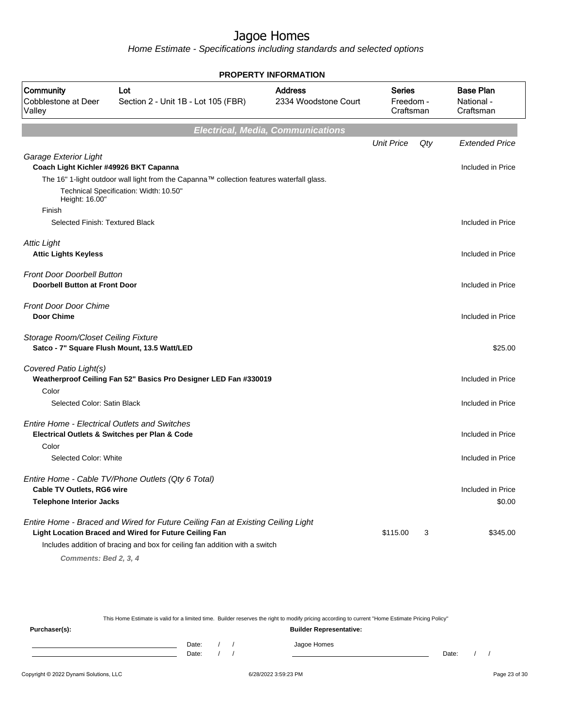|                                                                           |                                                                                           | <b>PROPERTY INFORMATION</b>              |                                         |     |                                             |
|---------------------------------------------------------------------------|-------------------------------------------------------------------------------------------|------------------------------------------|-----------------------------------------|-----|---------------------------------------------|
| Community<br>Cobblestone at Deer<br>Valley                                | <b>Address</b><br>Lot<br>2334 Woodstone Court<br>Section 2 - Unit 1B - Lot 105 (FBR)      |                                          | <b>Series</b><br>Freedom -<br>Craftsman |     | <b>Base Plan</b><br>National -<br>Craftsman |
|                                                                           |                                                                                           | <b>Electrical, Media, Communications</b> |                                         |     |                                             |
|                                                                           |                                                                                           |                                          | <b>Unit Price</b>                       | Qty | <b>Extended Price</b>                       |
| Garage Exterior Light<br>Coach Light Kichler #49926 BKT Capanna           |                                                                                           |                                          |                                         |     | Included in Price                           |
|                                                                           | The 16" 1-light outdoor wall light from the Capanna™ collection features waterfall glass. |                                          |                                         |     |                                             |
| Height: 16.00"                                                            | Technical Specification: Width: 10.50"                                                    |                                          |                                         |     |                                             |
| Finish                                                                    |                                                                                           |                                          |                                         |     |                                             |
| Selected Finish: Textured Black                                           |                                                                                           |                                          |                                         |     | Included in Price                           |
|                                                                           |                                                                                           |                                          |                                         |     |                                             |
| <b>Attic Light</b>                                                        |                                                                                           |                                          |                                         |     |                                             |
| <b>Attic Lights Keyless</b>                                               |                                                                                           |                                          |                                         |     | Included in Price                           |
| <b>Front Door Doorbell Button</b><br><b>Doorbell Button at Front Door</b> |                                                                                           |                                          |                                         |     | Included in Price                           |
| <b>Front Door Door Chime</b>                                              |                                                                                           |                                          |                                         |     |                                             |
| <b>Door Chime</b>                                                         |                                                                                           |                                          |                                         |     | Included in Price                           |
|                                                                           |                                                                                           |                                          |                                         |     |                                             |
| Storage Room/Closet Ceiling Fixture                                       |                                                                                           |                                          |                                         |     |                                             |
|                                                                           | Satco - 7" Square Flush Mount, 13.5 Watt/LED                                              |                                          |                                         |     | \$25.00                                     |
| Covered Patio Light(s)                                                    |                                                                                           |                                          |                                         |     |                                             |
|                                                                           | Weatherproof Ceiling Fan 52" Basics Pro Designer LED Fan #330019                          |                                          |                                         |     | Included in Price                           |
| Color                                                                     |                                                                                           |                                          |                                         |     |                                             |
| Selected Color: Satin Black                                               |                                                                                           |                                          |                                         |     | Included in Price                           |
|                                                                           |                                                                                           |                                          |                                         |     |                                             |
| <b>Entire Home - Electrical Outlets and Switches</b>                      |                                                                                           |                                          |                                         |     |                                             |
| Color                                                                     | Electrical Outlets & Switches per Plan & Code                                             |                                          |                                         |     | Included in Price                           |
| Selected Color: White                                                     |                                                                                           |                                          |                                         |     | Included in Price                           |
|                                                                           |                                                                                           |                                          |                                         |     |                                             |
|                                                                           | Entire Home - Cable TV/Phone Outlets (Qty 6 Total)                                        |                                          |                                         |     |                                             |
| Cable TV Outlets, RG6 wire                                                |                                                                                           |                                          |                                         |     | Included in Price                           |
| <b>Telephone Interior Jacks</b>                                           |                                                                                           |                                          |                                         |     | \$0.00                                      |
|                                                                           | Entire Home - Braced and Wired for Future Ceiling Fan at Existing Ceiling Light           |                                          |                                         |     |                                             |
|                                                                           | Light Location Braced and Wired for Future Ceiling Fan                                    |                                          | \$115.00                                | 3   | \$345.00                                    |
|                                                                           | Includes addition of bracing and box for ceiling fan addition with a switch               |                                          |                                         |     |                                             |
| Comments: Bed 2, 3, 4                                                     |                                                                                           |                                          |                                         |     |                                             |

|               |                                |       |  |  | This Home Estimate is valid for a limited time. Builder reserves the right to modify pricing according to current "Home Estimate Pricing Policy" |       |  |  |  |  |  |  |
|---------------|--------------------------------|-------|--|--|--------------------------------------------------------------------------------------------------------------------------------------------------|-------|--|--|--|--|--|--|
| Purchaser(s): | <b>Builder Representative:</b> |       |  |  |                                                                                                                                                  |       |  |  |  |  |  |  |
|               |                                | Date: |  |  | Jagoe Homes                                                                                                                                      |       |  |  |  |  |  |  |
|               |                                | Date: |  |  |                                                                                                                                                  | Date: |  |  |  |  |  |  |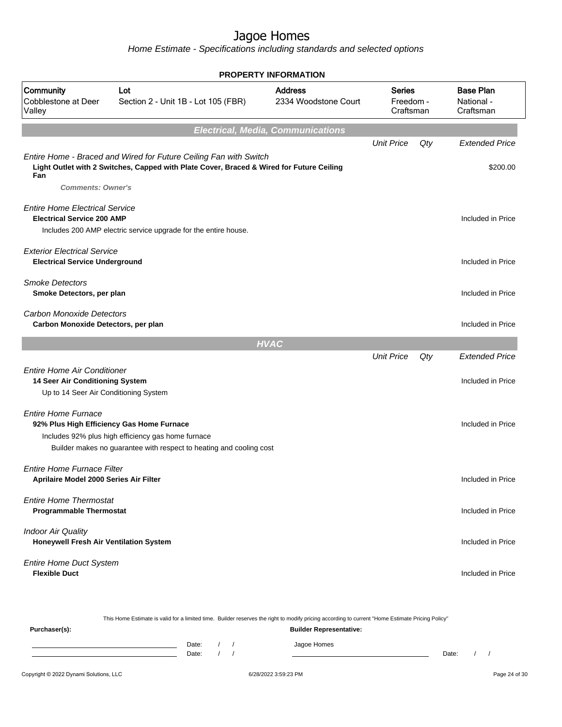|                                                                                                                |                                                                                                                                                                        | <b>PROPERTY INFORMATION</b>              |                                         |     |                                             |
|----------------------------------------------------------------------------------------------------------------|------------------------------------------------------------------------------------------------------------------------------------------------------------------------|------------------------------------------|-----------------------------------------|-----|---------------------------------------------|
| Community<br>Cobblestone at Deer<br>Valley                                                                     | Lot<br>Section 2 - Unit 1B - Lot 105 (FBR)                                                                                                                             | <b>Address</b><br>2334 Woodstone Court   | <b>Series</b><br>Freedom -<br>Craftsman |     | <b>Base Plan</b><br>National -<br>Craftsman |
|                                                                                                                |                                                                                                                                                                        | <b>Electrical, Media, Communications</b> |                                         |     |                                             |
|                                                                                                                |                                                                                                                                                                        |                                          | <b>Unit Price</b>                       | Qty | <b>Extended Price</b>                       |
| Fan<br><b>Comments: Owner's</b>                                                                                | Entire Home - Braced and Wired for Future Ceiling Fan with Switch<br>Light Outlet with 2 Switches, Capped with Plate Cover, Braced & Wired for Future Ceiling          |                                          |                                         |     | \$200.00                                    |
| <b>Entire Home Electrical Service</b><br><b>Electrical Service 200 AMP</b>                                     | Includes 200 AMP electric service upgrade for the entire house.                                                                                                        |                                          |                                         |     | Included in Price                           |
|                                                                                                                |                                                                                                                                                                        |                                          |                                         |     |                                             |
| <b>Exterior Electrical Service</b><br><b>Electrical Service Underground</b>                                    |                                                                                                                                                                        |                                          |                                         |     | Included in Price                           |
| <b>Smoke Detectors</b><br>Smoke Detectors, per plan                                                            |                                                                                                                                                                        |                                          |                                         |     | Included in Price                           |
| Carbon Monoxide Detectors<br>Carbon Monoxide Detectors, per plan                                               |                                                                                                                                                                        |                                          |                                         |     | Included in Price                           |
|                                                                                                                |                                                                                                                                                                        | <b>HVAC</b>                              |                                         |     |                                             |
|                                                                                                                |                                                                                                                                                                        |                                          | <b>Unit Price</b>                       | Qty | <b>Extended Price</b>                       |
| <b>Entire Home Air Conditioner</b><br>14 Seer Air Conditioning System<br>Up to 14 Seer Air Conditioning System |                                                                                                                                                                        |                                          |                                         |     | Included in Price                           |
| <b>Entire Home Furnace</b>                                                                                     | 92% Plus High Efficiency Gas Home Furnace<br>Includes 92% plus high efficiency gas home furnace<br>Builder makes no guarantee with respect to heating and cooling cost |                                          |                                         |     | Included in Price                           |
| <b>Entire Home Furnace Filter</b><br>Aprilaire Model 2000 Series Air Filter                                    |                                                                                                                                                                        |                                          |                                         |     | Included in Price                           |
| <b>Entire Home Thermostat</b><br><b>Programmable Thermostat</b>                                                |                                                                                                                                                                        |                                          |                                         |     | Included in Price                           |
| <b>Indoor Air Quality</b><br>Honeywell Fresh Air Ventilation System                                            |                                                                                                                                                                        |                                          |                                         |     | Included in Price                           |
| <b>Entire Home Duct System</b><br><b>Flexible Duct</b>                                                         |                                                                                                                                                                        |                                          |                                         |     | Included in Price                           |
|                                                                                                                |                                                                                                                                                                        |                                          |                                         |     |                                             |

|                                        |                                |  |  | This Home Estimate is valid for a limited time. Builder reserves the right to modify pricing according to current "Home Estimate Pricing Policy" |       |  |  |               |
|----------------------------------------|--------------------------------|--|--|--------------------------------------------------------------------------------------------------------------------------------------------------|-------|--|--|---------------|
| Purchaser(s):                          | <b>Builder Representative:</b> |  |  |                                                                                                                                                  |       |  |  |               |
|                                        | Date:                          |  |  | Jagoe Homes                                                                                                                                      |       |  |  |               |
|                                        | Date:                          |  |  |                                                                                                                                                  | Date: |  |  |               |
| Copyright © 2022 Dynami Solutions, LLC |                                |  |  | 6/28/2022 3:59:23 PM                                                                                                                             |       |  |  | Page 24 of 30 |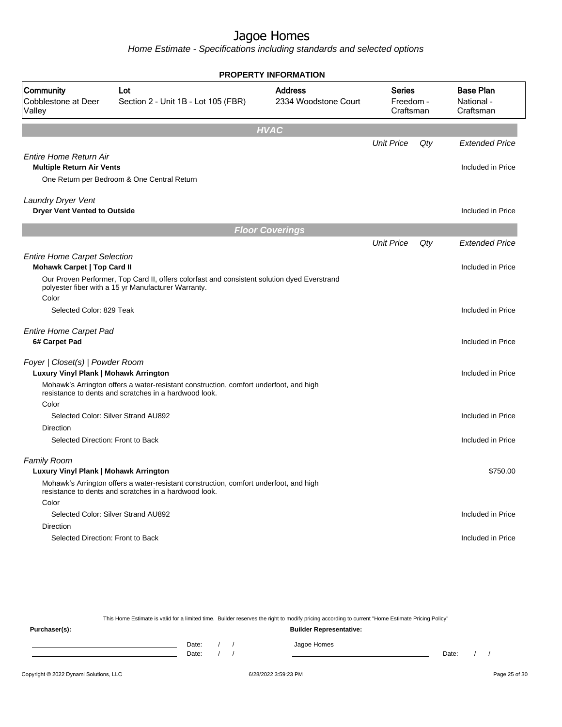Home Estimate - Specifications including standards and selected options

|                                                                          |                                                                                                                                                    | <b>PROPERTY INFORMATION</b>            |                                         |     |                                             |
|--------------------------------------------------------------------------|----------------------------------------------------------------------------------------------------------------------------------------------------|----------------------------------------|-----------------------------------------|-----|---------------------------------------------|
| Community<br>Cobblestone at Deer<br>Valley                               | Lot<br>Section 2 - Unit 1B - Lot 105 (FBR)                                                                                                         | <b>Address</b><br>2334 Woodstone Court | <b>Series</b><br>Freedom -<br>Craftsman |     | <b>Base Plan</b><br>National -<br>Craftsman |
|                                                                          |                                                                                                                                                    | <b>HVAC</b>                            |                                         |     |                                             |
|                                                                          |                                                                                                                                                    |                                        | <b>Unit Price</b>                       | Qty | <b>Extended Price</b>                       |
| <b>Entire Home Return Air</b>                                            |                                                                                                                                                    |                                        |                                         |     |                                             |
| <b>Multiple Return Air Vents</b>                                         |                                                                                                                                                    |                                        |                                         |     | Included in Price                           |
|                                                                          | One Return per Bedroom & One Central Return                                                                                                        |                                        |                                         |     |                                             |
| Laundry Dryer Vent                                                       |                                                                                                                                                    |                                        |                                         |     |                                             |
| <b>Dryer Vent Vented to Outside</b>                                      |                                                                                                                                                    |                                        |                                         |     | Included in Price                           |
|                                                                          |                                                                                                                                                    | <b>Floor Coverings</b>                 |                                         |     |                                             |
|                                                                          |                                                                                                                                                    |                                        | <b>Unit Price</b>                       | Qty | <b>Extended Price</b>                       |
| <b>Entire Home Carpet Selection</b>                                      |                                                                                                                                                    |                                        |                                         |     |                                             |
| <b>Mohawk Carpet   Top Card II</b>                                       |                                                                                                                                                    |                                        |                                         |     | Included in Price                           |
|                                                                          | Our Proven Performer, Top Card II, offers colorfast and consistent solution dyed Everstrand<br>polyester fiber with a 15 yr Manufacturer Warranty. |                                        |                                         |     |                                             |
| Color                                                                    |                                                                                                                                                    |                                        |                                         |     |                                             |
| Selected Color: 829 Teak                                                 |                                                                                                                                                    |                                        |                                         |     | Included in Price                           |
| <b>Entire Home Carpet Pad</b><br>6# Carpet Pad                           |                                                                                                                                                    |                                        |                                         |     | Included in Price                           |
| Foyer   Closet(s)   Powder Room<br>Luxury Vinyl Plank   Mohawk Arrington |                                                                                                                                                    |                                        |                                         |     | Included in Price                           |
|                                                                          | Mohawk's Arrington offers a water-resistant construction, comfort underfoot, and high<br>resistance to dents and scratches in a hardwood look.     |                                        |                                         |     |                                             |
| Color                                                                    |                                                                                                                                                    |                                        |                                         |     |                                             |
|                                                                          | Selected Color: Silver Strand AU892                                                                                                                |                                        |                                         |     | Included in Price                           |
| <b>Direction</b>                                                         |                                                                                                                                                    |                                        |                                         |     |                                             |
| Selected Direction: Front to Back                                        |                                                                                                                                                    |                                        |                                         |     | Included in Price                           |
| <b>Family Room</b>                                                       |                                                                                                                                                    |                                        |                                         |     |                                             |
| Luxury Vinyl Plank   Mohawk Arrington                                    |                                                                                                                                                    |                                        |                                         |     | \$750.00                                    |
|                                                                          | Mohawk's Arrington offers a water-resistant construction, comfort underfoot, and high<br>resistance to dents and scratches in a hardwood look.     |                                        |                                         |     |                                             |
| Color                                                                    |                                                                                                                                                    |                                        |                                         |     |                                             |
|                                                                          | Selected Color: Silver Strand AU892                                                                                                                |                                        |                                         |     | Included in Price                           |
| <b>Direction</b>                                                         |                                                                                                                                                    |                                        |                                         |     |                                             |
| Selected Direction: Front to Back                                        |                                                                                                                                                    |                                        |                                         |     | Included in Price                           |
|                                                                          |                                                                                                                                                    |                                        |                                         |     |                                             |

This Home Estimate is valid for a limited time. Builder reserves the right to modify pricing according to current "Home Estimate Pricing Policy" **Purchaser(s): Builder Representative:** Date: / / Jagoe Homes<br>Date: / / Jagoe Homes Date: / / Date: / /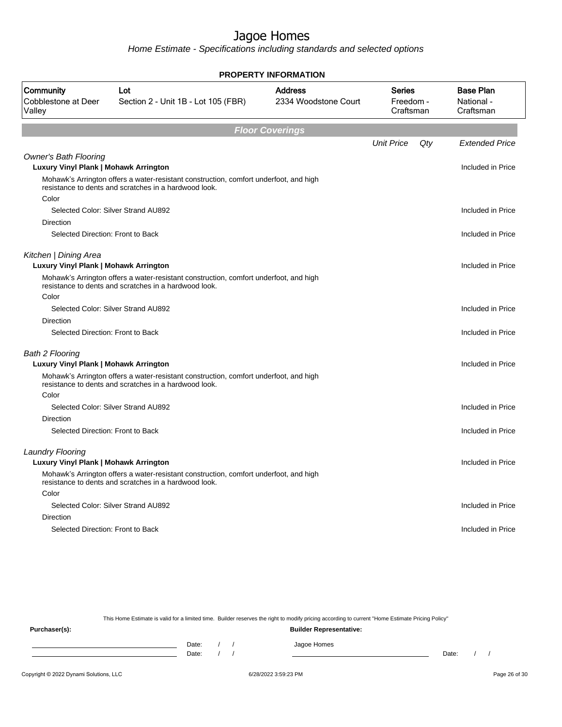Home Estimate - Specifications including standards and selected options

|                                                                       |                                                                                                                                                | <b>PROPERTY INFORMATION</b>            |                                  |     |                                             |
|-----------------------------------------------------------------------|------------------------------------------------------------------------------------------------------------------------------------------------|----------------------------------------|----------------------------------|-----|---------------------------------------------|
| Community<br>Cobblestone at Deer<br>Valley                            | Lot<br>Section 2 - Unit 1B - Lot 105 (FBR)                                                                                                     | <b>Address</b><br>2334 Woodstone Court | Series<br>Freedom -<br>Craftsman |     | <b>Base Plan</b><br>National -<br>Craftsman |
|                                                                       |                                                                                                                                                | <b>Floor Coverings</b>                 |                                  |     |                                             |
|                                                                       |                                                                                                                                                |                                        | <b>Unit Price</b>                | Qty | <b>Extended Price</b>                       |
| <b>Owner's Bath Flooring</b><br>Luxury Vinyl Plank   Mohawk Arrington |                                                                                                                                                |                                        |                                  |     | Included in Price                           |
|                                                                       | Mohawk's Arrington offers a water-resistant construction, comfort underfoot, and high<br>resistance to dents and scratches in a hardwood look. |                                        |                                  |     |                                             |
| Color                                                                 |                                                                                                                                                |                                        |                                  |     |                                             |
|                                                                       | Selected Color: Silver Strand AU892                                                                                                            |                                        |                                  |     | Included in Price                           |
| Direction                                                             |                                                                                                                                                |                                        |                                  |     |                                             |
| Selected Direction: Front to Back                                     |                                                                                                                                                |                                        |                                  |     | Included in Price                           |
| Kitchen   Dining Area<br>Luxury Vinyl Plank   Mohawk Arrington        |                                                                                                                                                |                                        |                                  |     | Included in Price                           |
|                                                                       | Mohawk's Arrington offers a water-resistant construction, comfort underfoot, and high<br>resistance to dents and scratches in a hardwood look. |                                        |                                  |     |                                             |
| Color                                                                 |                                                                                                                                                |                                        |                                  |     |                                             |
|                                                                       | Selected Color: Silver Strand AU892                                                                                                            |                                        |                                  |     | Included in Price                           |
| Direction                                                             |                                                                                                                                                |                                        |                                  |     |                                             |
| Selected Direction: Front to Back                                     |                                                                                                                                                |                                        |                                  |     | Included in Price                           |
| <b>Bath 2 Flooring</b>                                                |                                                                                                                                                |                                        |                                  |     |                                             |
| <b>Luxury Vinyl Plank   Mohawk Arrington</b>                          |                                                                                                                                                |                                        |                                  |     | Included in Price                           |
|                                                                       | Mohawk's Arrington offers a water-resistant construction, comfort underfoot, and high<br>resistance to dents and scratches in a hardwood look. |                                        |                                  |     |                                             |
| Color                                                                 |                                                                                                                                                |                                        |                                  |     |                                             |
|                                                                       | Selected Color: Silver Strand AU892                                                                                                            |                                        |                                  |     | Included in Price                           |
| <b>Direction</b>                                                      |                                                                                                                                                |                                        |                                  |     |                                             |
| Selected Direction: Front to Back                                     |                                                                                                                                                |                                        |                                  |     | Included in Price                           |
| <b>Laundry Flooring</b>                                               |                                                                                                                                                |                                        |                                  |     |                                             |
| Luxury Vinyl Plank   Mohawk Arrington                                 |                                                                                                                                                |                                        |                                  |     | Included in Price                           |
|                                                                       | Mohawk's Arrington offers a water-resistant construction, comfort underfoot, and high<br>resistance to dents and scratches in a hardwood look. |                                        |                                  |     |                                             |
| Color                                                                 |                                                                                                                                                |                                        |                                  |     |                                             |
|                                                                       | Selected Color: Silver Strand AU892                                                                                                            |                                        |                                  |     | Included in Price                           |
| <b>Direction</b>                                                      |                                                                                                                                                |                                        |                                  |     |                                             |
| Selected Direction: Front to Back                                     |                                                                                                                                                |                                        |                                  |     | Included in Price                           |
|                                                                       |                                                                                                                                                |                                        |                                  |     |                                             |

This Home Estimate is valid for a limited time. Builder reserves the right to modify pricing according to current "Home Estimate Pricing Policy"

**Purchaser(s): Builder Representative:** Date: / / Jagoe Homes<br>Date: / / Jagoe Homes Date: / / Date: / /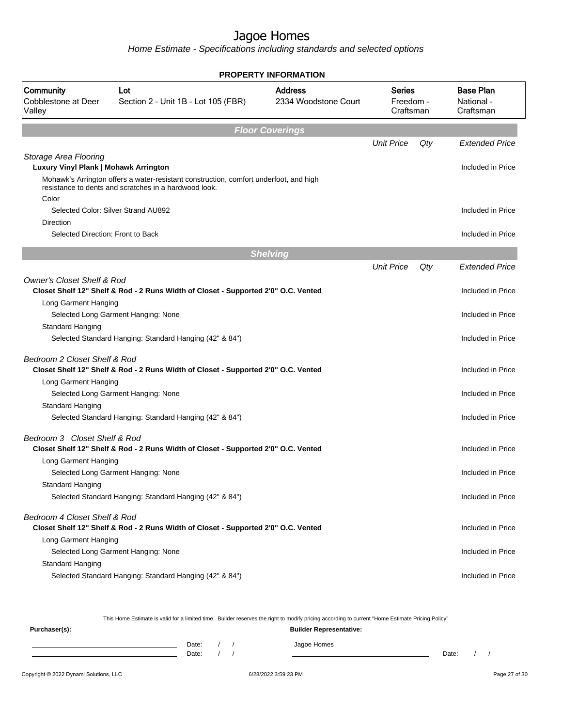Home Estimate - Specifications including standards and selected options

|                                            |                                                                                       | <b>PROPERTY INFORMATION</b>            |                                  |                   |                                             |
|--------------------------------------------|---------------------------------------------------------------------------------------|----------------------------------------|----------------------------------|-------------------|---------------------------------------------|
| Community<br>Cobblestone at Deer<br>Valley | Lot<br>Section 2 - Unit 1B - Lot 105 (FBR)                                            | <b>Address</b><br>2334 Woodstone Court | Series<br>Freedom -<br>Craftsman |                   | <b>Base Plan</b><br>National -<br>Craftsman |
|                                            |                                                                                       | <b>Floor Coverings</b>                 |                                  |                   |                                             |
|                                            |                                                                                       |                                        | <b>Unit Price</b>                | Qty               | <b>Extended Price</b>                       |
| Storage Area Flooring                      |                                                                                       |                                        |                                  |                   | Included in Price                           |
| Luxury Vinyl Plank   Mohawk Arrington      | Mohawk's Arrington offers a water-resistant construction, comfort underfoot, and high |                                        |                                  |                   |                                             |
| Color                                      | resistance to dents and scratches in a hardwood look.                                 |                                        |                                  |                   |                                             |
| Selected Color: Silver Strand AU892        |                                                                                       |                                        |                                  |                   | Included in Price                           |
| Direction                                  |                                                                                       |                                        |                                  |                   |                                             |
| Selected Direction: Front to Back          |                                                                                       |                                        |                                  |                   | Included in Price                           |
|                                            |                                                                                       | <b>Shelving</b>                        |                                  |                   |                                             |
|                                            |                                                                                       |                                        | <b>Unit Price</b>                | Qty               | <b>Extended Price</b>                       |
| <b>Owner's Closet Shelf &amp; Rod</b>      | Closet Shelf 12" Shelf & Rod - 2 Runs Width of Closet - Supported 2'0" O.C. Vented    |                                        |                                  |                   | Included in Price                           |
| Long Garment Hanging                       |                                                                                       |                                        |                                  |                   |                                             |
|                                            | Selected Long Garment Hanging: None                                                   |                                        |                                  |                   | Included in Price                           |
| Standard Hanging                           |                                                                                       |                                        |                                  |                   |                                             |
|                                            | Selected Standard Hanging: Standard Hanging (42" & 84")                               |                                        |                                  |                   | Included in Price                           |
| Bedroom 2 Closet Shelf & Rod               | Closet Shelf 12" Shelf & Rod - 2 Runs Width of Closet - Supported 2'0" O.C. Vented    |                                        |                                  |                   | Included in Price                           |
| Long Garment Hanging                       |                                                                                       |                                        |                                  |                   |                                             |
|                                            | Selected Long Garment Hanging: None                                                   |                                        |                                  |                   | Included in Price                           |
| Standard Hanging                           |                                                                                       |                                        |                                  |                   |                                             |
|                                            | Selected Standard Hanging: Standard Hanging (42" & 84")                               |                                        |                                  |                   | Included in Price                           |
| Bedroom 3 Closet Shelf & Rod               |                                                                                       |                                        |                                  |                   |                                             |
|                                            | Closet Shelf 12" Shelf & Rod - 2 Runs Width of Closet - Supported 2'0" O.C. Vented    |                                        |                                  |                   | Included in Price                           |
| Long Garment Hanging                       |                                                                                       |                                        |                                  |                   |                                             |
|                                            | Selected Long Garment Hanging: None                                                   |                                        |                                  |                   | Included in Price                           |
| Standard Hanging                           |                                                                                       |                                        |                                  |                   |                                             |
|                                            | Selected Standard Hanging: Standard Hanging (42" & 84")                               |                                        |                                  |                   | Included in Price                           |
| Bedroom 4 Closet Shelf & Rod               | Closet Shelf 12" Shelf & Rod - 2 Runs Width of Closet - Supported 2'0" O.C. Vented    |                                        |                                  |                   | Included in Price                           |
| Long Garment Hanging                       |                                                                                       |                                        |                                  |                   |                                             |
|                                            | Selected Long Garment Hanging: None                                                   |                                        |                                  |                   | Included in Price                           |
| Standard Hanging                           |                                                                                       |                                        |                                  |                   |                                             |
|                                            | Selected Standard Hanging: Standard Hanging (42" & 84")                               |                                        |                                  | Included in Price |                                             |

This Home Estimate is valid for a limited time. Builder reserves the right to modify pricing according to current "Home Estimate Pricing Policy"

**Purchaser(s): Builder Representative:** Date: / / Jagoe Homes<br>Date: / / Jagoe Homes Date: / / **Date: / / 2006** Date: / / / Date: / / /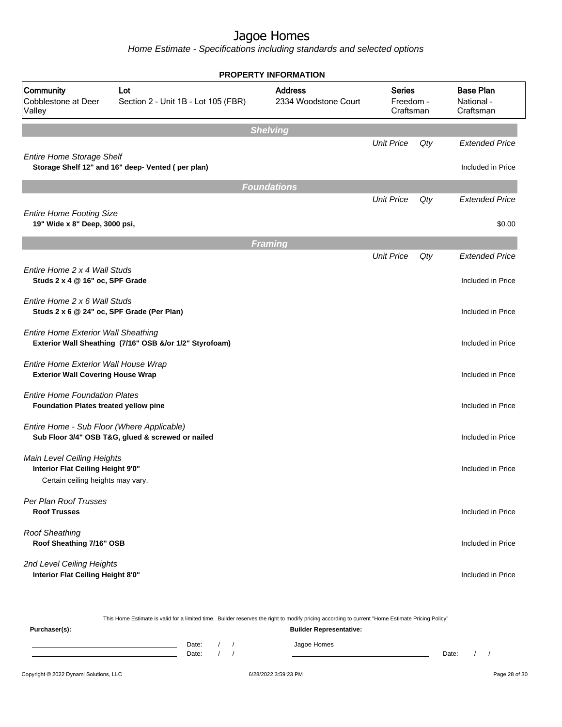|                                                                                  |                                                         | <b>PROPERTY INFORMATION</b>                                                       |                   |     |                                             |
|----------------------------------------------------------------------------------|---------------------------------------------------------|-----------------------------------------------------------------------------------|-------------------|-----|---------------------------------------------|
| Community<br>Cobblestone at Deer<br>Valley                                       | Lot<br>Section 2 - Unit 1B - Lot 105 (FBR)              | <b>Address</b><br><b>Series</b><br>2334 Woodstone Court<br>Freedom -<br>Craftsman |                   |     | <b>Base Plan</b><br>National -<br>Craftsman |
|                                                                                  |                                                         | <b>Shelving</b>                                                                   |                   |     |                                             |
| <b>Entire Home Storage Shelf</b>                                                 |                                                         |                                                                                   | <b>Unit Price</b> | Qty | <b>Extended Price</b>                       |
|                                                                                  | Storage Shelf 12" and 16" deep- Vented (per plan)       |                                                                                   |                   |     | Included in Price                           |
|                                                                                  |                                                         | <b>Foundations</b>                                                                |                   |     |                                             |
|                                                                                  |                                                         |                                                                                   | <b>Unit Price</b> | Qty | <b>Extended Price</b>                       |
| <b>Entire Home Footing Size</b><br>19" Wide x 8" Deep, 3000 psi,                 |                                                         |                                                                                   |                   |     | \$0.00                                      |
|                                                                                  |                                                         | <b>Framing</b>                                                                    |                   |     |                                             |
|                                                                                  |                                                         |                                                                                   | <b>Unit Price</b> | Qty | <b>Extended Price</b>                       |
| Entire Home 2 x 4 Wall Studs<br>Studs 2 x 4 @ 16" oc, SPF Grade                  |                                                         |                                                                                   |                   |     | Included in Price                           |
| Entire Home 2 x 6 Wall Studs<br>Studs 2 x 6 @ 24" oc, SPF Grade (Per Plan)       |                                                         |                                                                                   |                   |     | Included in Price                           |
| <b>Entire Home Exterior Wall Sheathing</b>                                       | Exterior Wall Sheathing (7/16" OSB &/or 1/2" Styrofoam) |                                                                                   |                   |     | Included in Price                           |
| Entire Home Exterior Wall House Wrap<br><b>Exterior Wall Covering House Wrap</b> |                                                         |                                                                                   |                   |     | Included in Price                           |
| <b>Entire Home Foundation Plates</b><br>Foundation Plates treated yellow pine    |                                                         |                                                                                   |                   |     | Included in Price                           |
| Entire Home - Sub Floor (Where Applicable)                                       | Sub Floor 3/4" OSB T&G, glued & screwed or nailed       |                                                                                   |                   |     | Included in Price                           |
| Main Level Ceiling Heights<br>Interior Flat Ceiling Height 9'0"                  |                                                         |                                                                                   |                   |     | Included in Price                           |
| Certain ceiling heights may vary.                                                |                                                         |                                                                                   |                   |     |                                             |
| Per Plan Roof Trusses<br><b>Roof Trusses</b>                                     |                                                         |                                                                                   |                   |     | Included in Price                           |
| <b>Roof Sheathing</b><br>Roof Sheathing 7/16" OSB                                |                                                         |                                                                                   |                   |     | Included in Price                           |
| 2nd Level Ceiling Heights<br>Interior Flat Ceiling Height 8'0"                   |                                                         |                                                                                   |                   |     | Included in Price                           |

|               |                                |       |  |  | This Home Estimate is valid for a limited time. Builder reserves the right to modify pricing according to current "Home Estimate Pricing Policy" |       |  |  |  |
|---------------|--------------------------------|-------|--|--|--------------------------------------------------------------------------------------------------------------------------------------------------|-------|--|--|--|
| Purchaser(s): | <b>Builder Representative:</b> |       |  |  |                                                                                                                                                  |       |  |  |  |
|               |                                | Date: |  |  | Jagoe Homes                                                                                                                                      |       |  |  |  |
|               |                                | Date: |  |  |                                                                                                                                                  | Date: |  |  |  |
|               |                                |       |  |  |                                                                                                                                                  |       |  |  |  |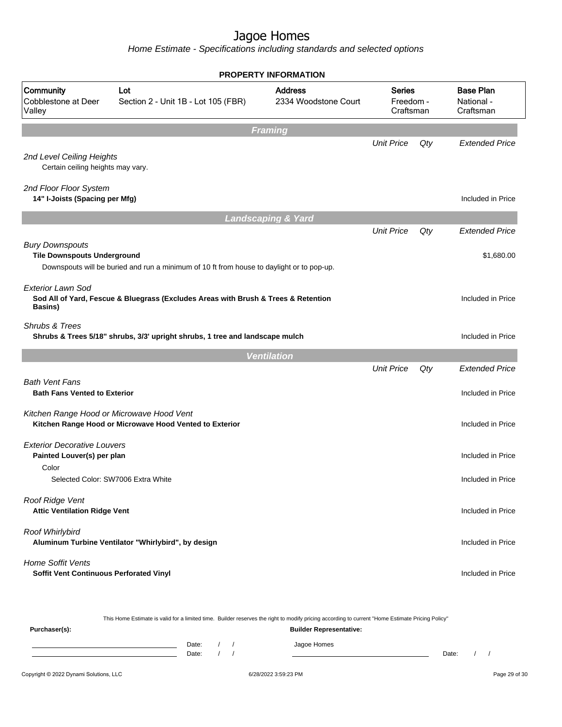Home Estimate - Specifications including standards and selected options

|                                                                                          |                                                                                           | <b>PROPERTY INFORMATION</b>             |                   |                                             |                       |
|------------------------------------------------------------------------------------------|-------------------------------------------------------------------------------------------|-----------------------------------------|-------------------|---------------------------------------------|-----------------------|
| Community<br>Cobblestone at Deer<br>Valley                                               | Lot<br>Section 2 - Unit 1B - Lot 105 (FBR)                                                | <b>Series</b><br>Freedom -<br>Craftsman |                   | <b>Base Plan</b><br>National -<br>Craftsman |                       |
|                                                                                          |                                                                                           | <b>Framing</b>                          |                   |                                             |                       |
| 2nd Level Ceiling Heights<br>Certain ceiling heights may vary.                           |                                                                                           |                                         | <b>Unit Price</b> | Qty                                         | <b>Extended Price</b> |
| 2nd Floor Floor System<br>14" I-Joists (Spacing per Mfg)                                 |                                                                                           |                                         |                   |                                             | Included in Price     |
|                                                                                          |                                                                                           | <b>Landscaping &amp; Yard</b>           |                   |                                             |                       |
| <b>Bury Downspouts</b><br><b>Tile Downspouts Underground</b><br><b>Exterior Lawn Sod</b> | Downspouts will be buried and run a minimum of 10 ft from house to daylight or to pop-up. | <b>Unit Price</b>                       | Qty               | <b>Extended Price</b><br>\$1,680.00         |                       |
| <b>Basins</b> )                                                                          | Sod All of Yard, Fescue & Bluegrass (Excludes Areas with Brush & Trees & Retention        |                                         |                   |                                             | Included in Price     |
| Shrubs & Trees                                                                           | Shrubs & Trees 5/18" shrubs, 3/3' upright shrubs, 1 tree and landscape mulch              |                                         |                   |                                             | Included in Price     |
|                                                                                          |                                                                                           | <b>Ventilation</b>                      |                   |                                             |                       |
|                                                                                          |                                                                                           |                                         | <b>Unit Price</b> | Qty                                         | <b>Extended Price</b> |
| <b>Bath Vent Fans</b><br><b>Bath Fans Vented to Exterior</b>                             |                                                                                           |                                         |                   |                                             | Included in Price     |
| Kitchen Range Hood or Microwave Hood Vent                                                | Kitchen Range Hood or Microwave Hood Vented to Exterior                                   |                                         |                   |                                             | Included in Price     |
| <b>Exterior Decorative Louvers</b><br>Painted Louver(s) per plan<br>Color                |                                                                                           |                                         |                   |                                             | Included in Price     |
| Selected Color: SW7006 Extra White                                                       |                                                                                           |                                         |                   |                                             | Included in Price     |
| Roof Ridge Vent<br><b>Attic Ventilation Ridge Vent</b>                                   |                                                                                           |                                         | Included in Price |                                             |                       |
| Roof Whirlybird                                                                          | Aluminum Turbine Ventilator "Whirlybird", by design                                       |                                         |                   |                                             | Included in Price     |
| <b>Home Soffit Vents</b><br>Soffit Vent Continuous Perforated Vinyl                      |                                                                                           |                                         |                   |                                             | Included in Price     |

This Home Estimate is valid for a limited time. Builder reserves the right to modify pricing according to current "Home Estimate Pricing Policy"

**Purchaser(s): Builder Representative:** Date: / / Jagoe Homes<br>Date: / / Jagoe Homes Date: / / Date: / /